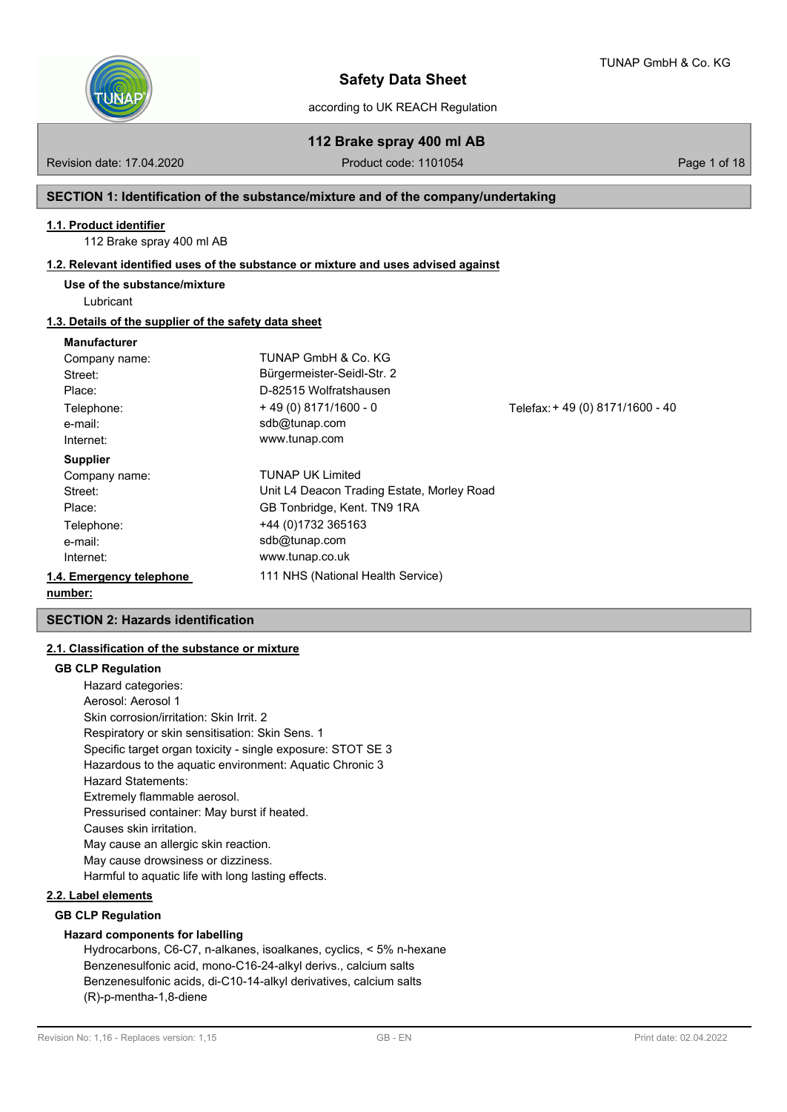

according to UK REACH Regulation

**112 Brake spray 400 ml AB**

Revision date: 17.04.2020 **Product code: 1101054** Page 1 of 18

#### **SECTION 1: Identification of the substance/mixture and of the company/undertaking**

#### **1.1. Product identifier**

112 Brake spray 400 ml AB

#### **1.2. Relevant identified uses of the substance or mixture and uses advised against**

#### **Use of the substance/mixture**

Lubricant

#### **1.3. Details of the supplier of the safety data sheet**

#### **Manufacturer**

| Company name:            | TUNAP GmbH & Co. KG                        |                                 |
|--------------------------|--------------------------------------------|---------------------------------|
| Street:                  | Bürgermeister-Seidl-Str. 2                 |                                 |
| Place:                   | D-82515 Wolfratshausen                     |                                 |
| Telephone:               | $+49(0)8171/1600 - 0$                      | Telefax: +49 (0) 8171/1600 - 40 |
| e-mail:                  | sdb@tunap.com                              |                                 |
| Internet:                | www.tunap.com                              |                                 |
| <b>Supplier</b>          |                                            |                                 |
| Company name:            | <b>TUNAP UK Limited</b>                    |                                 |
| Street:                  | Unit L4 Deacon Trading Estate, Morley Road |                                 |
| Place:                   | GB Tonbridge, Kent. TN9 1RA                |                                 |
| Telephone:               | +44 (0)1732 365163                         |                                 |
| e-mail:                  | sdb@tunap.com                              |                                 |
| Internet:                | www.tunap.co.uk                            |                                 |
| 1.4. Emergency telephone | 111 NHS (National Health Service)          |                                 |
| number:                  |                                            |                                 |

#### **SECTION 2: Hazards identification**

#### **2.1. Classification of the substance or mixture**

#### **GB CLP Regulation**

Hazard categories: Aerosol: Aerosol 1 Skin corrosion/irritation: Skin Irrit. 2 Respiratory or skin sensitisation: Skin Sens. 1 Specific target organ toxicity - single exposure: STOT SE 3 Hazardous to the aquatic environment: Aquatic Chronic 3 Hazard Statements: Extremely flammable aerosol. Pressurised container: May burst if heated. Causes skin irritation. May cause an allergic skin reaction. May cause drowsiness or dizziness. Harmful to aquatic life with long lasting effects.

#### **2.2. Label elements**

#### **GB CLP Regulation**

#### **Hazard components for labelling**

Hydrocarbons, C6-C7, n-alkanes, isoalkanes, cyclics, < 5% n-hexane Benzenesulfonic acid, mono-C16-24-alkyl derivs., calcium salts Benzenesulfonic acids, di-C10-14-alkyl derivatives, calcium salts (R)-p-mentha-1,8-diene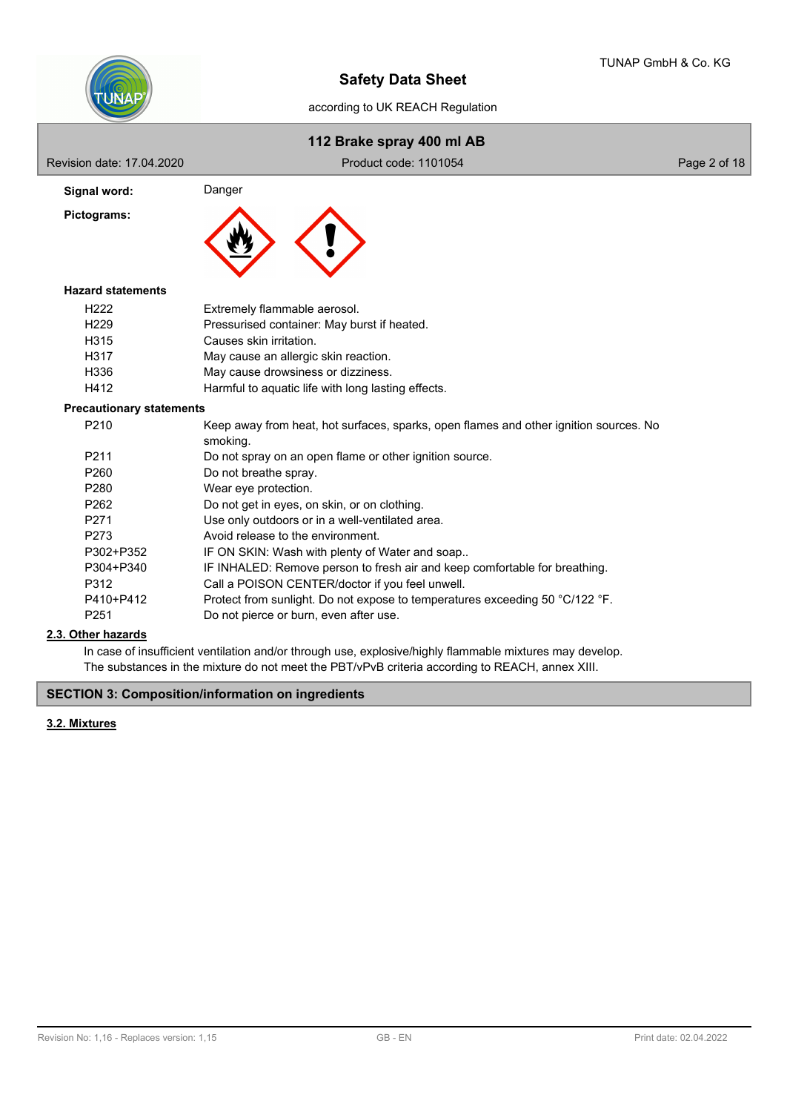

|                                 | 112 Brake spray 400 ml AB                                                                         |              |
|---------------------------------|---------------------------------------------------------------------------------------------------|--------------|
| Revision date: 17.04.2020       | Product code: 1101054                                                                             | Page 2 of 18 |
| Signal word:                    | Danger                                                                                            |              |
| Pictograms:                     |                                                                                                   |              |
| <b>Hazard statements</b>        |                                                                                                   |              |
| H <sub>222</sub>                | Extremely flammable aerosol.                                                                      |              |
| H <sub>229</sub>                | Pressurised container: May burst if heated.                                                       |              |
| H315                            | Causes skin irritation.                                                                           |              |
| H317                            | May cause an allergic skin reaction.                                                              |              |
| H336                            | May cause drowsiness or dizziness.                                                                |              |
| H412                            | Harmful to aquatic life with long lasting effects.                                                |              |
| <b>Precautionary statements</b> |                                                                                                   |              |
| P210                            | Keep away from heat, hot surfaces, sparks, open flames and other ignition sources. No<br>smoking. |              |
| P211                            | Do not spray on an open flame or other ignition source.                                           |              |
| P <sub>260</sub>                | Do not breathe spray.                                                                             |              |
| P280                            | Wear eye protection.                                                                              |              |
| P <sub>262</sub>                | Do not get in eyes, on skin, or on clothing.                                                      |              |
| P271                            | Use only outdoors or in a well-ventilated area.                                                   |              |
| P273                            | Avoid release to the environment.                                                                 |              |
| P302+P352                       | IF ON SKIN: Wash with plenty of Water and soap                                                    |              |
| P304+P340                       | IF INHALED: Remove person to fresh air and keep comfortable for breathing.                        |              |
| P312                            | Call a POISON CENTER/doctor if you feel unwell.                                                   |              |
| 0.110.0110                      | a al finanzo de collabolato. El acontecimiento de la llanca de                                    |              |

P410+P412 Protect from sunlight. Do not expose to temperatures exceeding 50 °C/122 °F. P251 Do not pierce or burn, even after use.

## **2.3. Other hazards**

In case of insufficient ventilation and/or through use, explosive/highly flammable mixtures may develop. The substances in the mixture do not meet the PBT/vPvB criteria according to REACH, annex XIII.

**SECTION 3: Composition/information on ingredients**

## **3.2. Mixtures**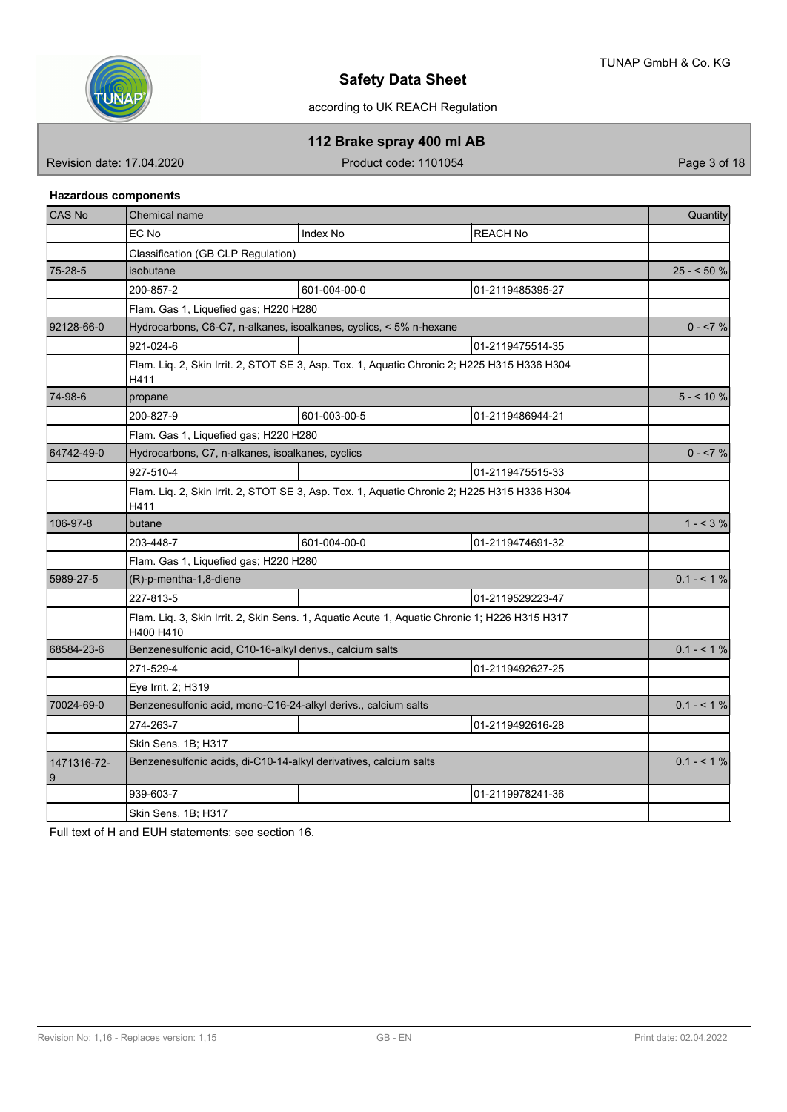

according to UK REACH Regulation

**112 Brake spray 400 ml AB**

Revision date: 17.04.2020 **Product code: 1101054** Product code: 1101054

#### **Hazardous components**

| CAS No           | Chemical name                                                                                              |             |  |  |  |  |  |
|------------------|------------------------------------------------------------------------------------------------------------|-------------|--|--|--|--|--|
|                  | EC No<br>Index No<br><b>REACH No</b>                                                                       |             |  |  |  |  |  |
|                  | Classification (GB CLP Regulation)                                                                         |             |  |  |  |  |  |
| 75-28-5          | isobutane                                                                                                  | $25 - 50%$  |  |  |  |  |  |
|                  | 601-004-00-0<br>200-857-2<br>01-2119485395-27                                                              |             |  |  |  |  |  |
|                  | Flam. Gas 1, Liquefied gas; H220 H280                                                                      |             |  |  |  |  |  |
| 92128-66-0       | Hydrocarbons, C6-C7, n-alkanes, isoalkanes, cyclics, < 5% n-hexane                                         | $0 - 57 \%$ |  |  |  |  |  |
|                  | 921-024-6<br>01-2119475514-35                                                                              |             |  |  |  |  |  |
|                  | Flam. Liq. 2, Skin Irrit. 2, STOT SE 3, Asp. Tox. 1, Aquatic Chronic 2; H225 H315 H336 H304<br>H411        |             |  |  |  |  |  |
| 74-98-6          | propane                                                                                                    | $5 - 10 \%$ |  |  |  |  |  |
|                  | 601-003-00-5<br>200-827-9<br>01-2119486944-21                                                              |             |  |  |  |  |  |
|                  | Flam. Gas 1, Liquefied gas; H220 H280                                                                      |             |  |  |  |  |  |
| 64742-49-0       | Hydrocarbons, C7, n-alkanes, isoalkanes, cyclics                                                           | $0 - 57 \%$ |  |  |  |  |  |
|                  | 927-510-4<br>01-2119475515-33                                                                              |             |  |  |  |  |  |
|                  | Flam. Liq. 2, Skin Irrit. 2, STOT SE 3, Asp. Tox. 1, Aquatic Chronic 2; H225 H315 H336 H304<br>H411        |             |  |  |  |  |  |
| 106-97-8         | butane                                                                                                     | $1 - 3\%$   |  |  |  |  |  |
|                  | 203-448-7<br>601-004-00-0<br>01-2119474691-32                                                              |             |  |  |  |  |  |
|                  | Flam. Gas 1, Liquefied gas; H220 H280                                                                      |             |  |  |  |  |  |
| 5989-27-5        | (R)-p-mentha-1,8-diene                                                                                     | $0.1 - 1\%$ |  |  |  |  |  |
|                  | 227-813-5<br>01-2119529223-47                                                                              |             |  |  |  |  |  |
|                  | Flam. Liq. 3, Skin Irrit. 2, Skin Sens. 1, Aquatic Acute 1, Aquatic Chronic 1; H226 H315 H317<br>H400 H410 |             |  |  |  |  |  |
| 68584-23-6       | Benzenesulfonic acid, C10-16-alkyl derivs., calcium salts                                                  | $0.1 - 1\%$ |  |  |  |  |  |
|                  | 01-2119492627-25<br>271-529-4                                                                              |             |  |  |  |  |  |
|                  | Eye Irrit. 2; H319                                                                                         |             |  |  |  |  |  |
| 70024-69-0       | Benzenesulfonic acid, mono-C16-24-alkyl derivs., calcium salts                                             | $0.1 - 1\%$ |  |  |  |  |  |
|                  | 274-263-7<br>01-2119492616-28                                                                              |             |  |  |  |  |  |
|                  | Skin Sens. 1B; H317                                                                                        |             |  |  |  |  |  |
| 1471316-72-<br>9 | Benzenesulfonic acids, di-C10-14-alkyl derivatives, calcium salts                                          | $0.1 - 1\%$ |  |  |  |  |  |
|                  | 939-603-7<br>01-2119978241-36                                                                              |             |  |  |  |  |  |
|                  | Skin Sens. 1B; H317                                                                                        |             |  |  |  |  |  |

Full text of H and EUH statements: see section 16.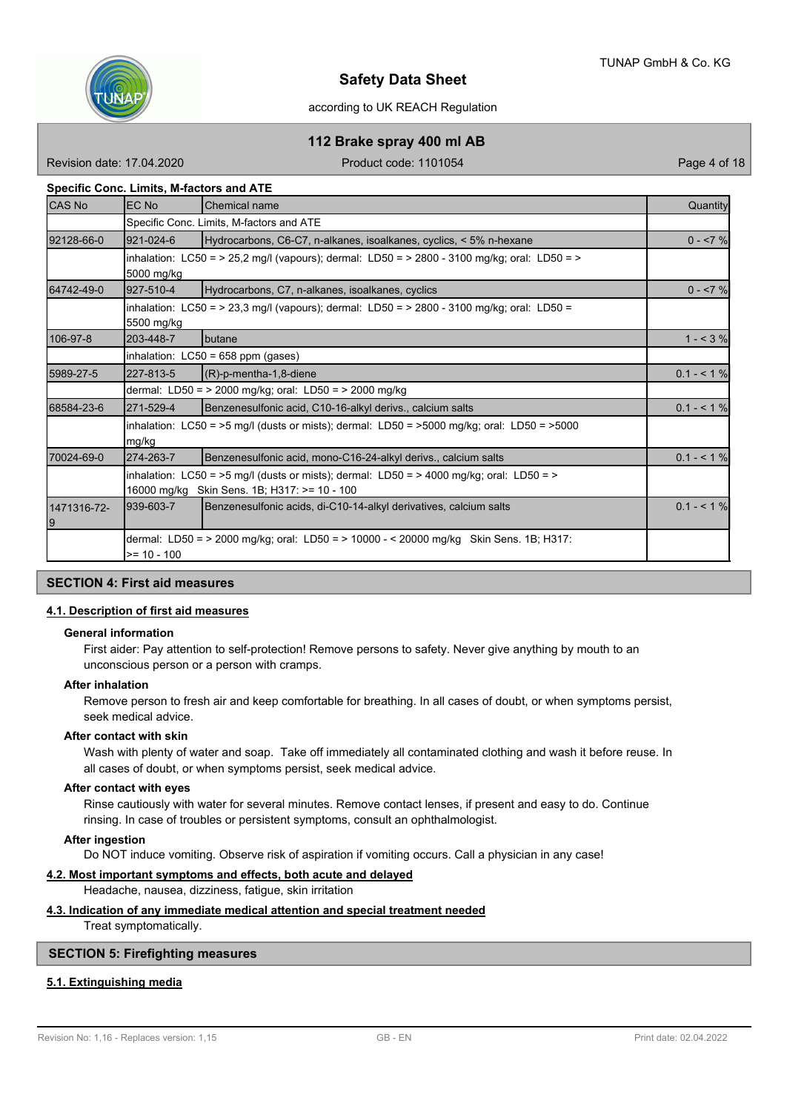

# **112 Brake spray 400 ml AB**

Revision date: 17.04.2020 **Product code: 1101054** Page 4 of 18

#### **Specific Conc. Limits, M-factors and ATE**

| <b>CAS No</b>     | <b>EC No</b><br><b>Chemical name</b>                                                                                                        |                                                                                                   |             |  |  |  |  |  |
|-------------------|---------------------------------------------------------------------------------------------------------------------------------------------|---------------------------------------------------------------------------------------------------|-------------|--|--|--|--|--|
|                   | Specific Conc. Limits, M-factors and ATE                                                                                                    |                                                                                                   |             |  |  |  |  |  |
| 92128-66-0        | 921-024-6                                                                                                                                   | Hydrocarbons, C6-C7, n-alkanes, isoalkanes, cyclics, < 5% n-hexane                                | $0 - 57%$   |  |  |  |  |  |
|                   | 5000 mg/kg                                                                                                                                  | inhalation: LC50 = > 25,2 mg/l (vapours); dermal: LD50 = > 2800 - 3100 mg/kg; oral: LD50 = >      |             |  |  |  |  |  |
| 64742-49-0        | 927-510-4                                                                                                                                   | Hydrocarbons, C7, n-alkanes, isoalkanes, cyclics                                                  | $0 - 7%$    |  |  |  |  |  |
|                   | 5500 mg/kg                                                                                                                                  | inhalation: LC50 = > 23,3 mg/l (vapours); dermal: LD50 = > 2800 - 3100 mg/kg; oral: LD50 =        |             |  |  |  |  |  |
| 106-97-8          | butane                                                                                                                                      | $1 - 3%$                                                                                          |             |  |  |  |  |  |
|                   |                                                                                                                                             | inhalation: LC50 = 658 ppm (gases)                                                                |             |  |  |  |  |  |
| 5989-27-5         | 227-813-5                                                                                                                                   | $(R)$ -p-mentha-1,8-diene                                                                         |             |  |  |  |  |  |
|                   |                                                                                                                                             | dermal: LD50 = $>$ 2000 mg/kg; oral: LD50 = $>$ 2000 mg/kg                                        |             |  |  |  |  |  |
| 68584-23-6        | 271-529-4                                                                                                                                   | Benzenesulfonic acid, C10-16-alkyl derivs., calcium salts                                         | $0.1 - 51%$ |  |  |  |  |  |
|                   | mg/kg                                                                                                                                       | inhalation: LC50 = $>5$ mg/l (dusts or mists); dermal: LD50 = $>5000$ mg/kg; oral: LD50 = $>5000$ |             |  |  |  |  |  |
| 70024-69-0        | 274-263-7                                                                                                                                   | Benzenesulfonic acid, mono-C16-24-alkyl derivs., calcium salts                                    | $0.1 - 51%$ |  |  |  |  |  |
|                   | inhalation: LC50 = >5 mg/l (dusts or mists); dermal: LD50 = > 4000 mg/kg; oral: LD50 = ><br>16000 mg/kg<br>Skin Sens. 1B; H317: >= 10 - 100 |                                                                                                   |             |  |  |  |  |  |
| 1471316-72-<br>19 | 939-603-7                                                                                                                                   | Benzenesulfonic acids, di-C10-14-alkyl derivatives, calcium salts                                 | $0.1 - 51%$ |  |  |  |  |  |
|                   | $>= 10 - 100$                                                                                                                               | dermal: LD50 = > 2000 mg/kg; oral: LD50 = > 10000 - < 20000 mg/kg Skin Sens. 1B; H317:            |             |  |  |  |  |  |

#### **SECTION 4: First aid measures**

#### **4.1. Description of first aid measures**

#### **General information**

First aider: Pay attention to self-protection! Remove persons to safety. Never give anything by mouth to an unconscious person or a person with cramps.

#### **After inhalation**

Remove person to fresh air and keep comfortable for breathing. In all cases of doubt, or when symptoms persist, seek medical advice.

#### **After contact with skin**

Wash with plenty of water and soap. Take off immediately all contaminated clothing and wash it before reuse. In all cases of doubt, or when symptoms persist, seek medical advice.

#### **After contact with eyes**

Rinse cautiously with water for several minutes. Remove contact lenses, if present and easy to do. Continue rinsing. In case of troubles or persistent symptoms, consult an ophthalmologist.

#### **After ingestion**

Do NOT induce vomiting. Observe risk of aspiration if vomiting occurs. Call a physician in any case!

#### **4.2. Most important symptoms and effects, both acute and delayed**

Headache, nausea, dizziness, fatigue, skin irritation

#### **4.3. Indication of any immediate medical attention and special treatment needed**

Treat symptomatically.

#### **SECTION 5: Firefighting measures**

#### **5.1. Extinguishing media**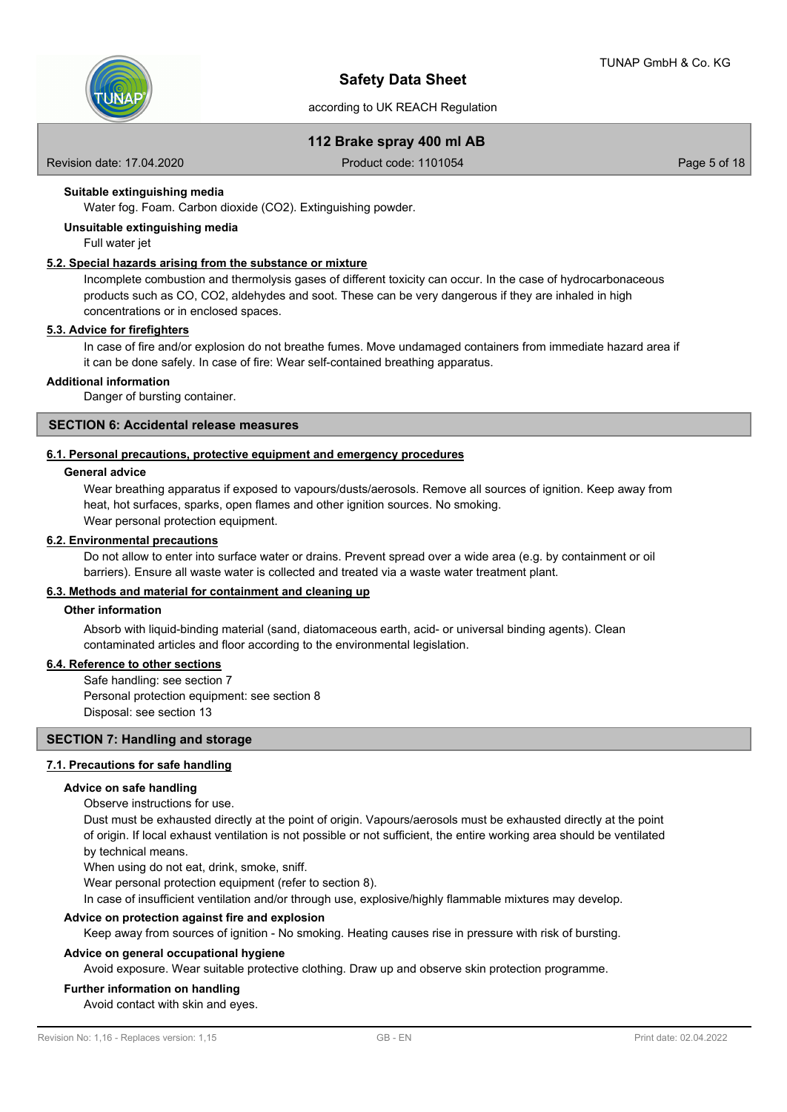

#### **112 Brake spray 400 ml AB**

Revision date: 17.04.2020 **Product code: 1101054** Page 5 of 18

#### **Suitable extinguishing media**

Water fog. Foam. Carbon dioxide (CO2). Extinguishing powder.

**Unsuitable extinguishing media**

#### Full water jet

#### **5.2. Special hazards arising from the substance or mixture**

Incomplete combustion and thermolysis gases of different toxicity can occur. In the case of hydrocarbonaceous products such as CO, CO2, aldehydes and soot. These can be very dangerous if they are inhaled in high concentrations or in enclosed spaces.

#### **5.3. Advice for firefighters**

In case of fire and/or explosion do not breathe fumes. Move undamaged containers from immediate hazard area if it can be done safely. In case of fire: Wear self-contained breathing apparatus.

#### **Additional information**

Danger of bursting container.

#### **SECTION 6: Accidental release measures**

#### **6.1. Personal precautions, protective equipment and emergency procedures**

#### **General advice**

Wear breathing apparatus if exposed to vapours/dusts/aerosols. Remove all sources of ignition. Keep away from heat, hot surfaces, sparks, open flames and other ignition sources. No smoking. Wear personal protection equipment.

#### **6.2. Environmental precautions**

Do not allow to enter into surface water or drains. Prevent spread over a wide area (e.g. by containment or oil barriers). Ensure all waste water is collected and treated via a waste water treatment plant.

#### **6.3. Methods and material for containment and cleaning up**

#### **Other information**

Absorb with liquid-binding material (sand, diatomaceous earth, acid- or universal binding agents). Clean contaminated articles and floor according to the environmental legislation.

#### **6.4. Reference to other sections**

Safe handling: see section 7 Personal protection equipment: see section 8 Disposal: see section 13

#### **SECTION 7: Handling and storage**

#### **7.1. Precautions for safe handling**

#### **Advice on safe handling**

Observe instructions for use.

Dust must be exhausted directly at the point of origin. Vapours/aerosols must be exhausted directly at the point of origin. If local exhaust ventilation is not possible or not sufficient, the entire working area should be ventilated by technical means.

When using do not eat, drink, smoke, sniff.

Wear personal protection equipment (refer to section 8).

In case of insufficient ventilation and/or through use, explosive/highly flammable mixtures may develop.

#### **Advice on protection against fire and explosion**

Keep away from sources of ignition - No smoking. Heating causes rise in pressure with risk of bursting.

#### **Advice on general occupational hygiene**

Avoid exposure. Wear suitable protective clothing. Draw up and observe skin protection programme.

#### **Further information on handling**

Avoid contact with skin and eyes.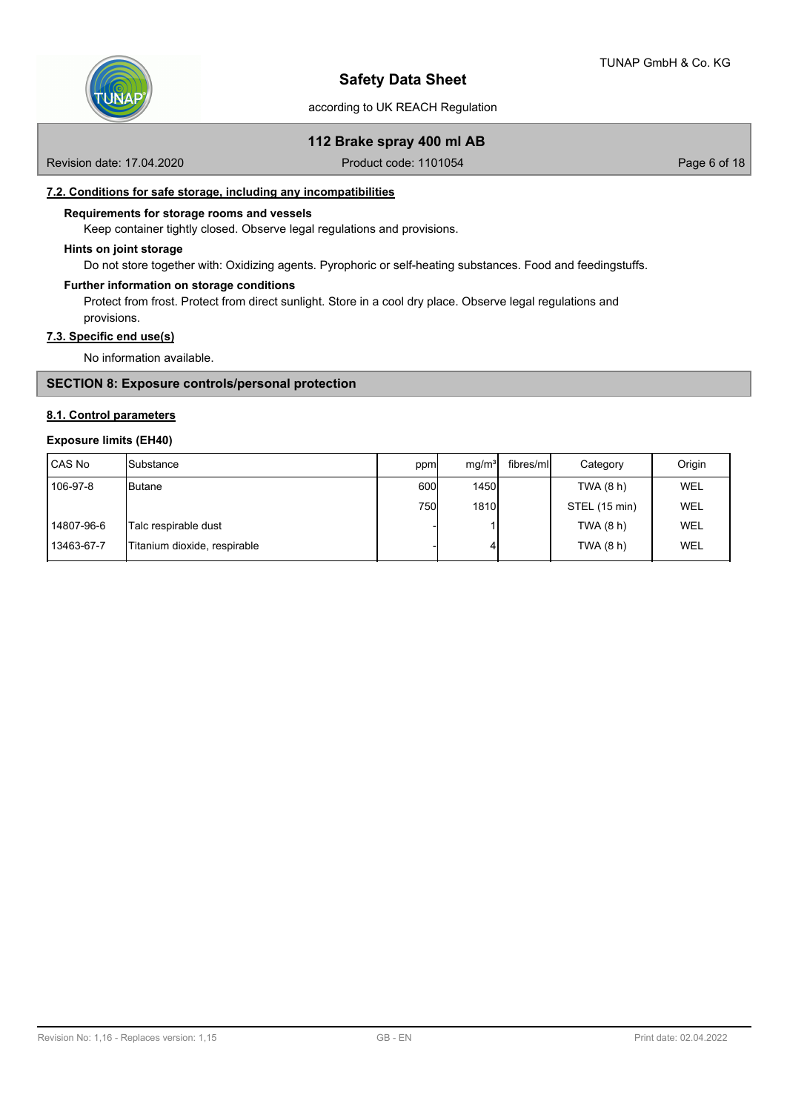

#### **112 Brake spray 400 ml AB**

Revision date: 17.04.2020 **Product code: 1101054** Page 6 of 18

#### **7.2. Conditions for safe storage, including any incompatibilities**

#### **Requirements for storage rooms and vessels**

Keep container tightly closed. Observe legal regulations and provisions.

#### **Hints on joint storage**

Do not store together with: Oxidizing agents. Pyrophoric or self-heating substances. Food and feedingstuffs.

#### **Further information on storage conditions**

Protect from frost. Protect from direct sunlight. Store in a cool dry place. Observe legal regulations and provisions.

#### **7.3. Specific end use(s)**

No information available.

#### **SECTION 8: Exposure controls/personal protection**

#### **8.1. Control parameters**

#### **Exposure limits (EH40)**

| l CAS No   | <b>I</b> Substance           | ppm  | mq/m <sup>3</sup> | fibres/ml | Category      | Origin     |
|------------|------------------------------|------|-------------------|-----------|---------------|------------|
| 106-97-8   | <b>I</b> Butane              | 600l | <b>1450</b>       |           | TWA (8 h)     | <b>WEL</b> |
|            |                              | 750l | 1810              |           | STEL (15 min) | <b>WEL</b> |
| 14807-96-6 | Talc respirable dust         |      |                   |           | TWA (8 h)     | <b>WEL</b> |
| 13463-67-7 | Titanium dioxide, respirable |      | 4                 |           | TWA (8 h)     | <b>WEL</b> |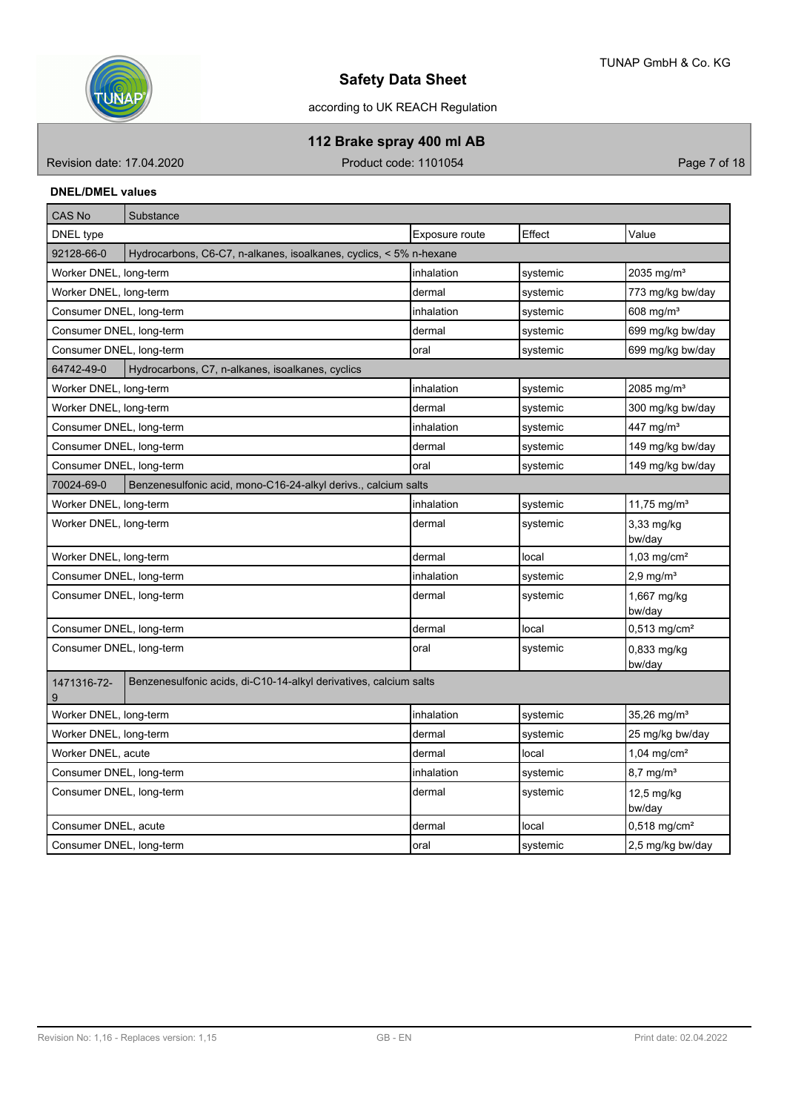

according to UK REACH Regulation

**112 Brake spray 400 ml AB**

Revision date: 17.04.2020 **Product code: 1101054** Product code: 1101054

#### **DNEL/DMEL values**

| <b>CAS No</b>            | Substance                                                          |                |          |                            |
|--------------------------|--------------------------------------------------------------------|----------------|----------|----------------------------|
| DNEL type                |                                                                    | Exposure route | Effect   | Value                      |
| 92128-66-0               | Hydrocarbons, C6-C7, n-alkanes, isoalkanes, cyclics, < 5% n-hexane |                |          |                            |
| Worker DNEL, long-term   |                                                                    | inhalation     | systemic | 2035 mg/m <sup>3</sup>     |
| Worker DNEL, long-term   |                                                                    | dermal         | systemic | 773 mg/kg bw/day           |
| Consumer DNEL, long-term |                                                                    | inhalation     | systemic | 608 mg/m <sup>3</sup>      |
| Consumer DNEL, long-term |                                                                    | dermal         | systemic | 699 mg/kg bw/day           |
| Consumer DNEL, long-term |                                                                    | loral          | systemic | 699 mg/kg bw/day           |
| 64742-49-0               | Hydrocarbons, C7, n-alkanes, isoalkanes, cyclics                   |                |          |                            |
| Worker DNEL, long-term   |                                                                    | inhalation     | systemic | 2085 mg/ $m3$              |
| Worker DNEL, long-term   |                                                                    | dermal         | systemic | 300 mg/kg bw/day           |
| Consumer DNEL, long-term |                                                                    | inhalation     | systemic | 447 mg/m <sup>3</sup>      |
| Consumer DNEL, long-term |                                                                    | dermal         | systemic | 149 mg/kg bw/day           |
| Consumer DNEL, long-term |                                                                    | loral          | systemic | 149 mg/kg bw/day           |
| 70024-69-0               | Benzenesulfonic acid, mono-C16-24-alkyl derivs., calcium salts     |                |          |                            |
| Worker DNEL, long-term   |                                                                    | inhalation     | systemic | 11,75 mg/m <sup>3</sup>    |
| Worker DNEL, long-term   |                                                                    | dermal         | systemic | 3,33 mg/kg<br>bw/day       |
| Worker DNEL, long-term   |                                                                    | dermal         | local    | $1,03$ mg/cm <sup>2</sup>  |
| Consumer DNEL, long-term |                                                                    | inhalation     | systemic | $2,9$ mg/m <sup>3</sup>    |
| Consumer DNEL, long-term |                                                                    | dermal         | systemic | 1,667 mg/kg<br>bw/day      |
| Consumer DNEL, long-term |                                                                    | dermal         | local    | $0,513$ mg/cm <sup>2</sup> |
| Consumer DNEL, long-term |                                                                    | oral           | systemic | 0,833 mg/kg<br>bw/day      |
| 1471316-72-<br>9         | Benzenesulfonic acids, di-C10-14-alkyl derivatives, calcium salts  |                |          |                            |
| Worker DNEL, long-term   |                                                                    | inhalation     | systemic | 35,26 mg/m <sup>3</sup>    |
| Worker DNEL, long-term   |                                                                    | dermal         | systemic | 25 mg/kg bw/day            |
| Worker DNEL, acute       |                                                                    | dermal         | local    | $1,04$ mg/cm <sup>2</sup>  |
| Consumer DNEL, long-term |                                                                    | inhalation     | systemic | 8,7 mg/m <sup>3</sup>      |
| Consumer DNEL, long-term |                                                                    | dermal         | systemic | 12,5 mg/kg<br>bw/day       |
| Consumer DNEL, acute     |                                                                    | dermal         | local    | $0,518$ mg/cm <sup>2</sup> |
| Consumer DNEL, long-term |                                                                    | oral           | systemic | 2,5 mg/kg bw/day           |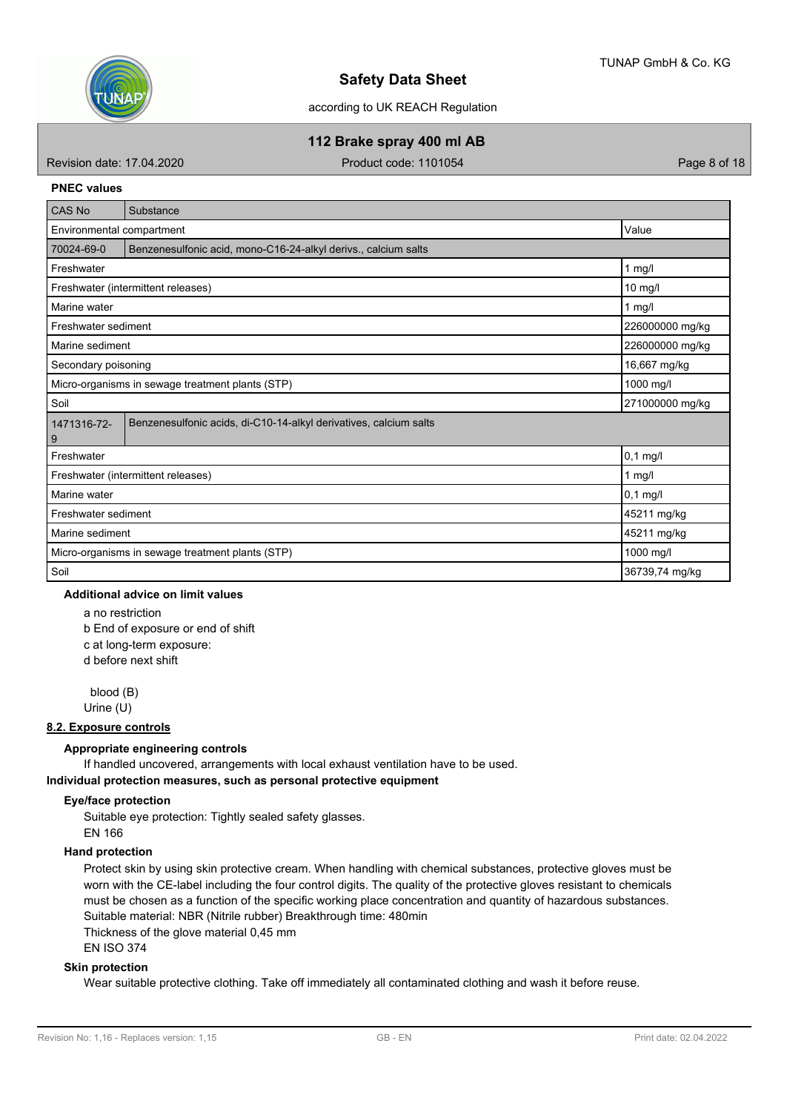

according to UK REACH Regulation

**112 Brake spray 400 ml AB**

Revision date: 17.04.2020 **Product code: 1101054** Page 8 of 18

#### **PNEC values**

| CAS No                                                                       | Substance                                                         |                 |  |  |  |  |
|------------------------------------------------------------------------------|-------------------------------------------------------------------|-----------------|--|--|--|--|
| Value<br>Environmental compartment                                           |                                                                   |                 |  |  |  |  |
| 70024-69-0<br>Benzenesulfonic acid, mono-C16-24-alkyl derivs., calcium salts |                                                                   |                 |  |  |  |  |
| Freshwater                                                                   |                                                                   | $1$ mg/l        |  |  |  |  |
|                                                                              | Freshwater (intermittent releases)                                | $10$ mg/l       |  |  |  |  |
| Marine water                                                                 |                                                                   | 1 mg/l          |  |  |  |  |
| Freshwater sediment                                                          |                                                                   | 226000000 mg/kg |  |  |  |  |
| Marine sediment                                                              |                                                                   | 226000000 mg/kg |  |  |  |  |
| Secondary poisoning                                                          | 16,667 mg/kg                                                      |                 |  |  |  |  |
| 1000 mg/l<br>Micro-organisms in sewage treatment plants (STP)                |                                                                   |                 |  |  |  |  |
| Soil<br>271000000 mg/kg                                                      |                                                                   |                 |  |  |  |  |
| 1471316-72-<br>9                                                             | Benzenesulfonic acids, di-C10-14-alkyl derivatives, calcium salts |                 |  |  |  |  |
| Freshwater                                                                   |                                                                   | $0,1$ mg/l      |  |  |  |  |
|                                                                              | Freshwater (intermittent releases)                                | $1$ mg/l        |  |  |  |  |
| Marine water                                                                 |                                                                   | $0,1$ mg/l      |  |  |  |  |
| 45211 mg/kg<br>Freshwater sediment                                           |                                                                   |                 |  |  |  |  |
| 45211 mg/kg<br>Marine sediment                                               |                                                                   |                 |  |  |  |  |
|                                                                              | Micro-organisms in sewage treatment plants (STP)                  | 1000 mg/l       |  |  |  |  |
| Soil                                                                         |                                                                   | 36739,74 mg/kg  |  |  |  |  |

#### **Additional advice on limit values**

a no restriction b End of exposure or end of shift c at long-term exposure: d before next shift

 blood (B) Urine (U)

#### **8.2. Exposure controls**

#### **Appropriate engineering controls**

If handled uncovered, arrangements with local exhaust ventilation have to be used.

#### **Individual protection measures, such as personal protective equipment**

#### **Eye/face protection**

Suitable eye protection: Tightly sealed safety glasses.

# EN 166

## **Hand protection**

Protect skin by using skin protective cream. When handling with chemical substances, protective gloves must be worn with the CE-label including the four control digits. The quality of the protective gloves resistant to chemicals must be chosen as a function of the specific working place concentration and quantity of hazardous substances. Suitable material: NBR (Nitrile rubber) Breakthrough time: 480min

Thickness of the glove material 0,45 mm EN ISO 374

#### **Skin protection**

Wear suitable protective clothing. Take off immediately all contaminated clothing and wash it before reuse.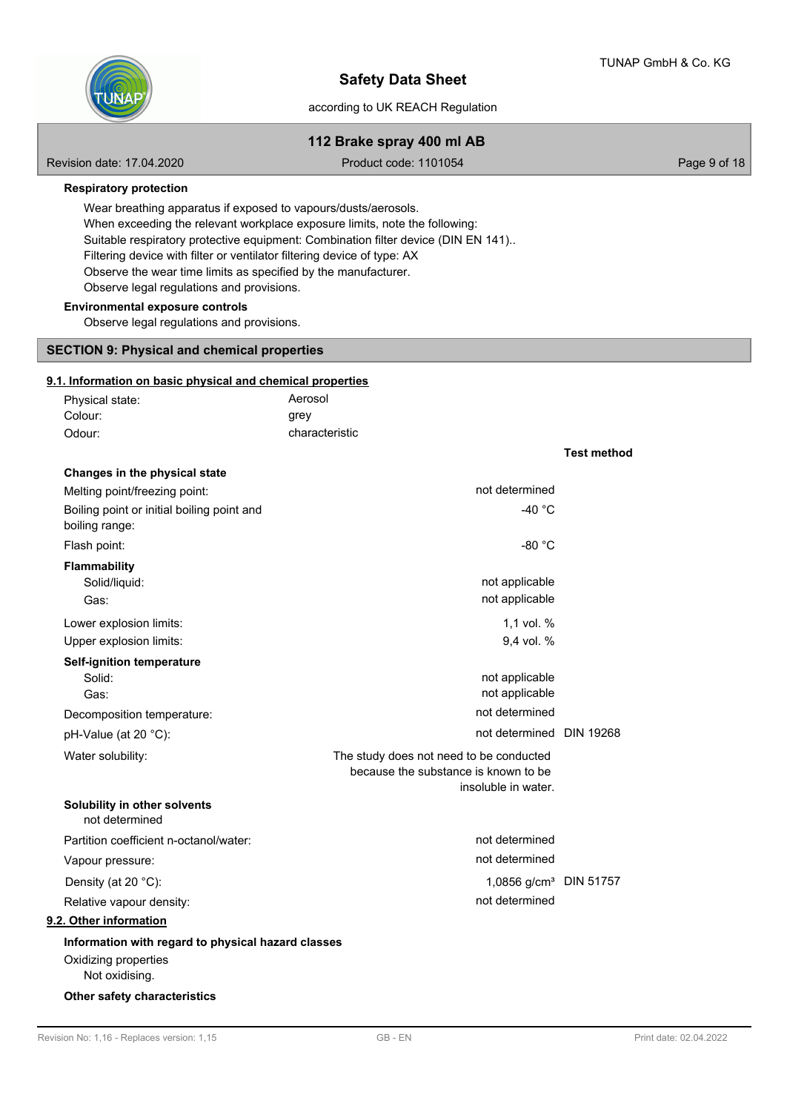**Test method**

# NÑ

# **Safety Data Sheet**

#### according to UK REACH Regulation

# **112 Brake spray 400 ml AB**

Revision date: 17.04.2020 **Product code: 1101054** Page 9 of 18

**Respiratory protection**

Wear breathing apparatus if exposed to vapours/dusts/aerosols. When exceeding the relevant workplace exposure limits, note the following: Suitable respiratory protective equipment: Combination filter device (DIN EN 141).. Filtering device with filter or ventilator filtering device of type: AX Observe the wear time limits as specified by the manufacturer. Observe legal regulations and provisions.

#### **Environmental exposure controls**

Observe legal regulations and provisions.

#### **SECTION 9: Physical and chemical properties**

#### **9.1. Information on basic physical and chemical properties**

| Physical state: | Aerosol        |
|-----------------|----------------|
| Colour:         | grey           |
| Odour:          | characteristic |

| Changes in the physical state                                |                                         |  |
|--------------------------------------------------------------|-----------------------------------------|--|
| Melting point/freezing point:                                | not determined                          |  |
| Boiling point or initial boiling point and<br>boiling range: | -40 $^{\circ}$ C                        |  |
| Flash point:                                                 | $-80 °C$                                |  |
| <b>Flammability</b>                                          |                                         |  |
| Solid/liquid:                                                | not applicable                          |  |
| Gas:                                                         | not applicable                          |  |
| Lower explosion limits:                                      | 1,1 vol. %                              |  |
| Upper explosion limits:                                      | 9,4 vol. %                              |  |
| <b>Self-ignition temperature</b>                             |                                         |  |
| Solid:                                                       | not applicable                          |  |
| Gas:                                                         | not applicable                          |  |
| Decomposition temperature:                                   | not determined                          |  |
| pH-Value (at 20 °C):                                         | not determined DIN 19268                |  |
| Water solubility:                                            | The study does not need to be conducted |  |
|                                                              | because the substance is known to be    |  |
|                                                              | insoluble in water.                     |  |
| Solubility in other solvents<br>not determined               |                                         |  |
| Partition coefficient n-octanol/water:                       | not determined                          |  |
| Vapour pressure:                                             | not determined                          |  |
| Density (at 20 °C):                                          | 1,0856 g/cm <sup>3</sup> DIN 51757      |  |
| Relative vapour density:                                     | not determined                          |  |
| 9.2. Other information                                       |                                         |  |
| Information with regard to physical hazard classes           |                                         |  |
| Oxidizing properties                                         |                                         |  |
| Not oxidising.                                               |                                         |  |

**Other safety characteristics**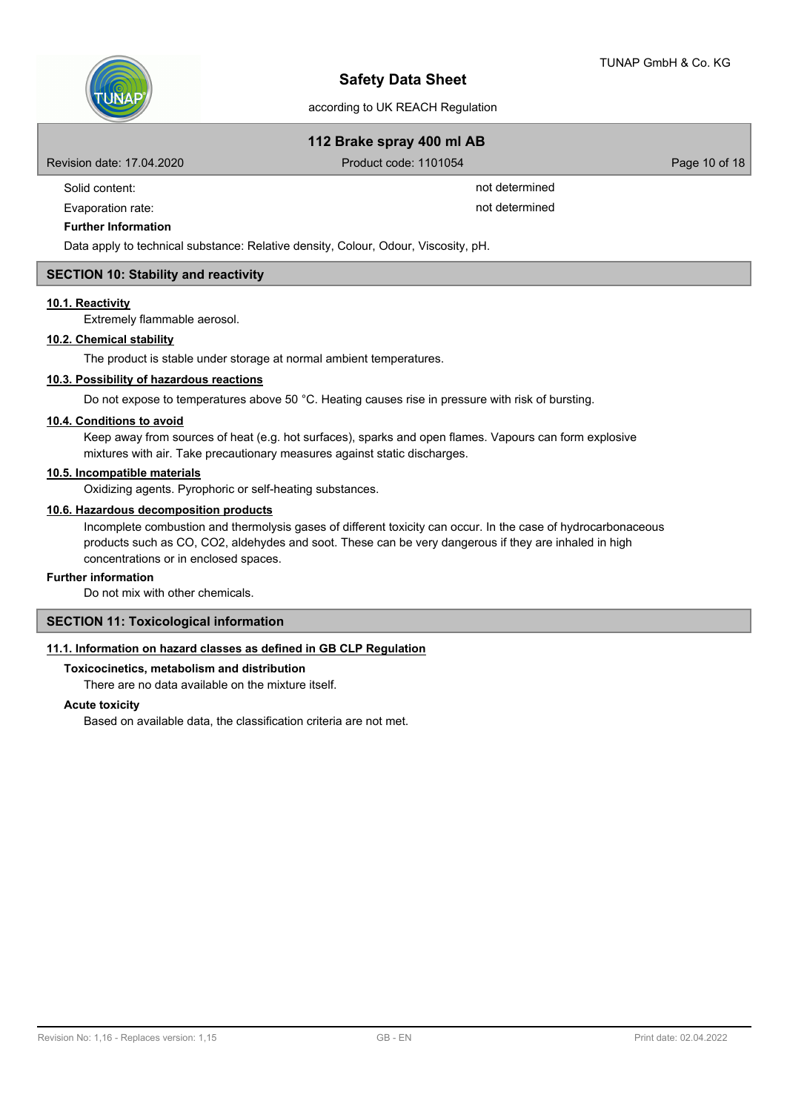

# **112 Brake spray 400 ml AB**

Revision date: 17.04.2020 **Product code: 1101054** Product code: 1101054

Solid content: not determined

Evaporation rate: not determined

#### **Further Information**

Data apply to technical substance: Relative density, Colour, Odour, Viscosity, pH.

#### **SECTION 10: Stability and reactivity**

#### **10.1. Reactivity**

Extremely flammable aerosol.

#### **10.2. Chemical stability**

The product is stable under storage at normal ambient temperatures.

#### **10.3. Possibility of hazardous reactions**

Do not expose to temperatures above 50 °C. Heating causes rise in pressure with risk of bursting.

#### **10.4. Conditions to avoid**

Keep away from sources of heat (e.g. hot surfaces), sparks and open flames. Vapours can form explosive mixtures with air. Take precautionary measures against static discharges.

#### **10.5. Incompatible materials**

Oxidizing agents. Pyrophoric or self-heating substances.

#### **10.6. Hazardous decomposition products**

Incomplete combustion and thermolysis gases of different toxicity can occur. In the case of hydrocarbonaceous products such as CO, CO2, aldehydes and soot. These can be very dangerous if they are inhaled in high concentrations or in enclosed spaces.

#### **Further information**

Do not mix with other chemicals.

#### **SECTION 11: Toxicological information**

#### **11.1. Information on hazard classes as defined in GB CLP Regulation**

#### **Toxicocinetics, metabolism and distribution**

There are no data available on the mixture itself.

#### **Acute toxicity**

Based on available data, the classification criteria are not met.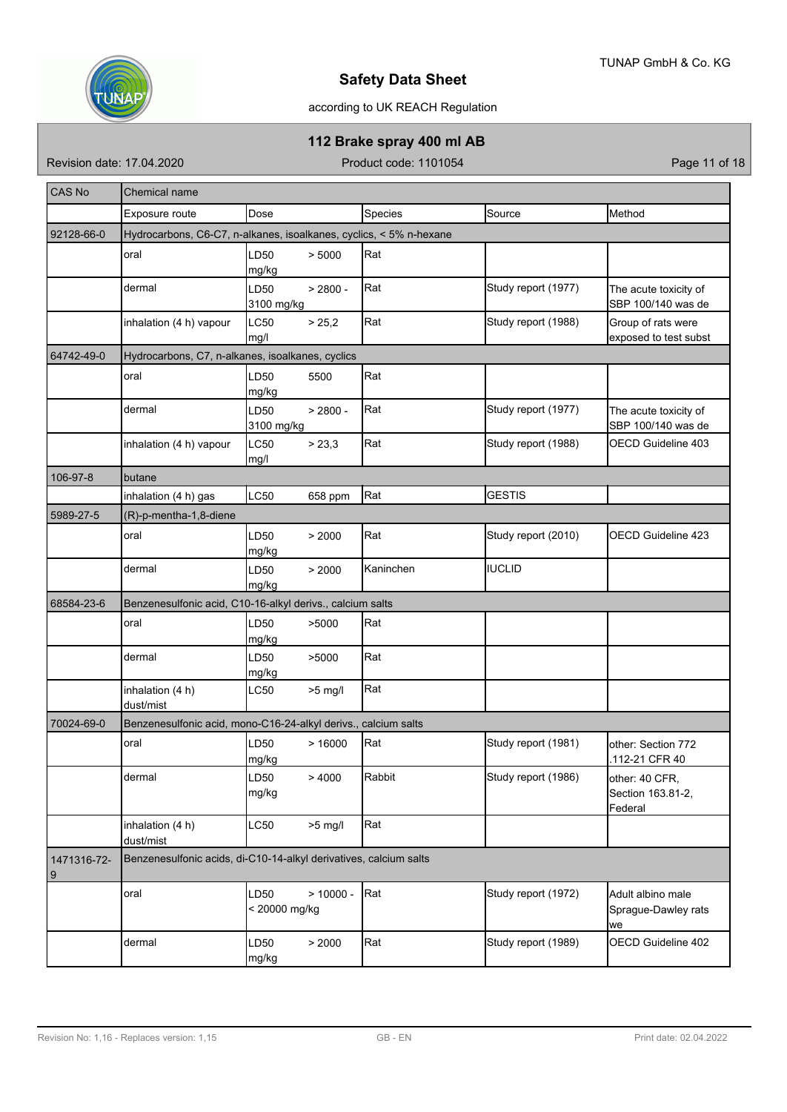

# according to UK REACH Regulation

# **112 Brake spray 400 ml AB**

Revision date: 17.04.2020 **Product code: 1101054** Product code: 1101054

| <b>CAS No</b>    | Chemical name                                                      |                       |             |           |                     |                                                |  |  |  |  |  |
|------------------|--------------------------------------------------------------------|-----------------------|-------------|-----------|---------------------|------------------------------------------------|--|--|--|--|--|
|                  | Exposure route                                                     | Dose                  |             | Species   | Source              | Method                                         |  |  |  |  |  |
| 92128-66-0       | Hydrocarbons, C6-C7, n-alkanes, isoalkanes, cyclics, < 5% n-hexane |                       |             |           |                     |                                                |  |  |  |  |  |
|                  | oral                                                               | LD50<br>mg/kg         | > 5000      | Rat       |                     |                                                |  |  |  |  |  |
|                  | dermal                                                             | LD50<br>3100 mg/kg    | $> 2800 -$  | Rat       | Study report (1977) | The acute toxicity of<br>SBP 100/140 was de    |  |  |  |  |  |
|                  | inhalation (4 h) vapour                                            | LC50<br>mg/l          | > 25,2      | Rat       | Study report (1988) | Group of rats were<br>exposed to test subst    |  |  |  |  |  |
| 64742-49-0       | Hydrocarbons, C7, n-alkanes, isoalkanes, cyclics                   |                       |             |           |                     |                                                |  |  |  |  |  |
|                  | oral                                                               | LD50<br>mg/kg         | 5500        | Rat       |                     |                                                |  |  |  |  |  |
|                  | dermal                                                             | LD50<br>3100 mg/kg    | $> 2800 -$  | Rat       | Study report (1977) | The acute toxicity of<br>SBP 100/140 was de    |  |  |  |  |  |
|                  | inhalation (4 h) vapour                                            | <b>LC50</b><br>mg/l   | > 23,3      | Rat       | Study report (1988) | OECD Guideline 403                             |  |  |  |  |  |
| 106-97-8         | butane                                                             |                       |             |           |                     |                                                |  |  |  |  |  |
|                  | inhalation (4 h) gas                                               | LC50                  | 658 ppm     | Rat       | <b>GESTIS</b>       |                                                |  |  |  |  |  |
| 5989-27-5        | (R)-p-mentha-1,8-diene                                             |                       |             |           |                     |                                                |  |  |  |  |  |
|                  | oral                                                               | LD50<br>mg/kg         | > 2000      | Rat       | Study report (2010) | OECD Guideline 423                             |  |  |  |  |  |
|                  | dermal                                                             | LD50<br>mg/kg         | > 2000      | Kaninchen | <b>IUCLID</b>       |                                                |  |  |  |  |  |
| 68584-23-6       | Benzenesulfonic acid, C10-16-alkyl derivs., calcium salts          |                       |             |           |                     |                                                |  |  |  |  |  |
|                  | oral                                                               | LD50<br>mg/kg         | >5000       | Rat       |                     |                                                |  |  |  |  |  |
|                  | dermal                                                             | LD50<br>mg/kg         | >5000       | Rat       |                     |                                                |  |  |  |  |  |
|                  | inhalation (4 h)<br>dust/mist                                      | LC50                  | $>5$ mg/l   | Rat       |                     |                                                |  |  |  |  |  |
| 70024-69-0       | Benzenesulfonic acid, mono-C16-24-alkyl derivs., calcium salts     |                       |             |           |                     |                                                |  |  |  |  |  |
|                  | oral                                                               | LD50<br>mg/kg         | >16000      | Rat       | Study report (1981) | other: Section 772<br>112-21 CFR 40            |  |  |  |  |  |
|                  | dermal                                                             | LD50<br>mg/kg         | >4000       | Rabbit    | Study report (1986) | other: 40 CFR,<br>Section 163.81-2,<br>Federal |  |  |  |  |  |
|                  | inhalation (4 h)<br>dust/mist                                      | LC50                  | $>5$ mg/l   | Rat       |                     |                                                |  |  |  |  |  |
| 1471316-72-<br>9 | Benzenesulfonic acids, di-C10-14-alkyl derivatives, calcium salts  |                       |             |           |                     |                                                |  |  |  |  |  |
|                  | oral                                                               | LD50<br>< 20000 mg/kg | $> 10000 -$ | Rat       | Study report (1972) | Adult albino male<br>Sprague-Dawley rats<br>we |  |  |  |  |  |
|                  | dermal                                                             | LD50<br>mg/kg         | > 2000      | Rat       | Study report (1989) | OECD Guideline 402                             |  |  |  |  |  |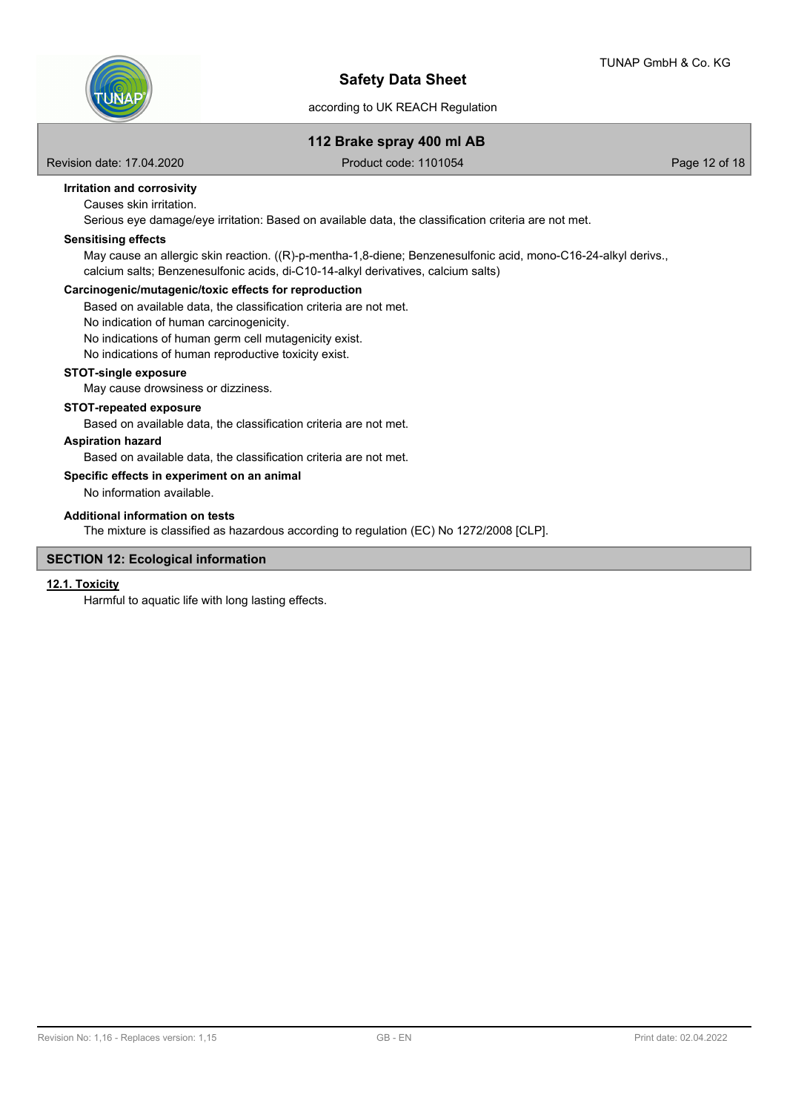

## **112 Brake spray 400 ml AB**

Revision date: 17.04.2020 **Product code: 1101054** Product code: 1101054

# **Irritation and corrosivity**

Causes skin irritation.

Serious eye damage/eye irritation: Based on available data, the classification criteria are not met.

#### **Sensitising effects**

May cause an allergic skin reaction. ((R)-p-mentha-1,8-diene; Benzenesulfonic acid, mono-C16-24-alkyl derivs., calcium salts; Benzenesulfonic acids, di-C10-14-alkyl derivatives, calcium salts)

#### **Carcinogenic/mutagenic/toxic effects for reproduction**

Based on available data, the classification criteria are not met.

No indication of human carcinogenicity.

No indications of human germ cell mutagenicity exist.

No indications of human reproductive toxicity exist.

#### **STOT-single exposure**

May cause drowsiness or dizziness.

#### **STOT-repeated exposure**

Based on available data, the classification criteria are not met.

#### **Aspiration hazard**

Based on available data, the classification criteria are not met.

#### **Specific effects in experiment on an animal**

No information available.

#### **Additional information on tests**

The mixture is classified as hazardous according to regulation (EC) No 1272/2008 [CLP].

#### **SECTION 12: Ecological information**

#### **12.1. Toxicity**

Harmful to aquatic life with long lasting effects.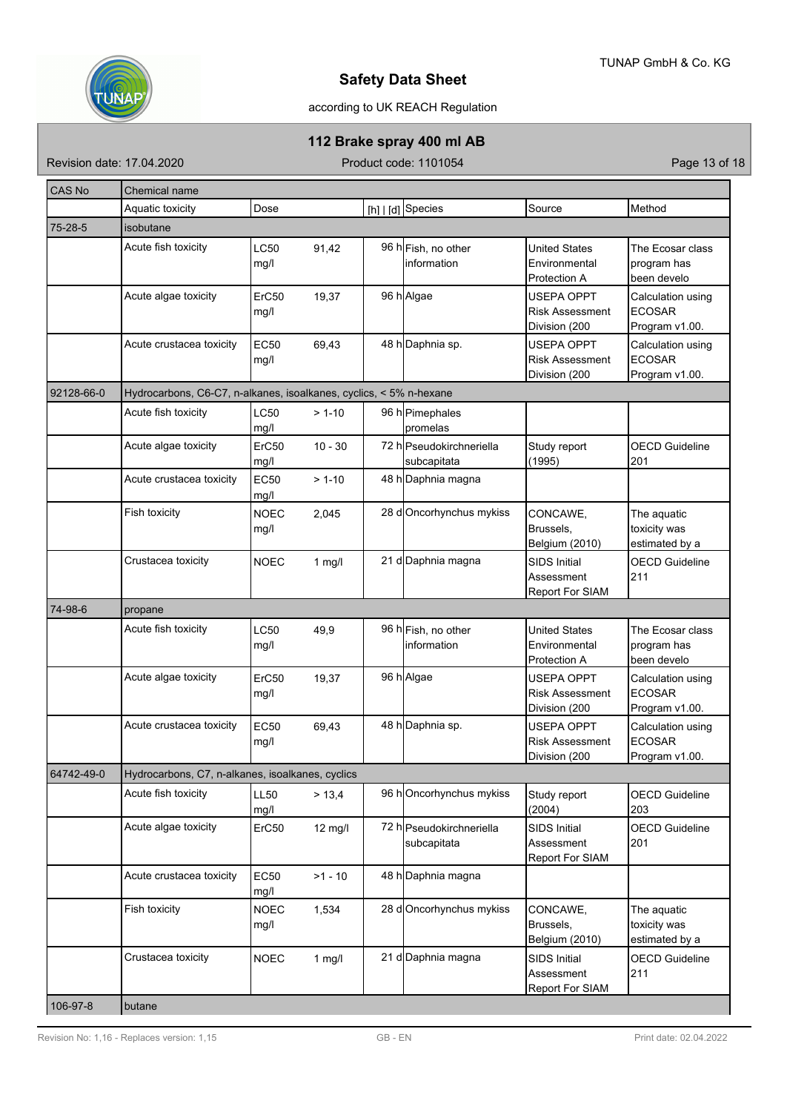

# according to UK REACH Regulation

# **112 Brake spray 400 ml AB**

Revision date: 17.04.2020 **Product code: 1101054** Product code: 1101054

| <b>CAS No</b> | Chemical name                                                      |                     |                   |  |                                         |                                                              |                                                      |  |  |
|---------------|--------------------------------------------------------------------|---------------------|-------------------|--|-----------------------------------------|--------------------------------------------------------------|------------------------------------------------------|--|--|
|               | Aquatic toxicity                                                   | Dose                |                   |  | [h]   [d] Species                       | Source                                                       | Method                                               |  |  |
| 75-28-5       | isobutane                                                          |                     |                   |  |                                         |                                                              |                                                      |  |  |
|               | Acute fish toxicity                                                | LC50<br>mg/l        | 91,42             |  | 96 h Fish, no other<br>linformation     | <b>United States</b><br>Environmental<br>Protection A        | The Ecosar class<br>program has<br>been develo       |  |  |
|               | Acute algae toxicity                                               | ErC50<br>mg/l       | 19,37             |  | 96 h Algae                              | <b>USEPA OPPT</b><br><b>Risk Assessment</b><br>Division (200 | Calculation using<br><b>ECOSAR</b><br>Program v1.00. |  |  |
|               | Acute crustacea toxicity                                           | EC50<br>mg/l        | 69,43             |  | 48 h Daphnia sp.                        | <b>USEPA OPPT</b><br><b>Risk Assessment</b><br>Division (200 | Calculation using<br><b>ECOSAR</b><br>Program v1.00. |  |  |
| 92128-66-0    | Hydrocarbons, C6-C7, n-alkanes, isoalkanes, cyclics, < 5% n-hexane |                     |                   |  |                                         |                                                              |                                                      |  |  |
|               | Acute fish toxicity                                                | LC50<br>mg/l        | $> 1-10$          |  | 96 h Pimephales<br>promelas             |                                                              |                                                      |  |  |
|               | Acute algae toxicity                                               | ErC50<br>mg/l       | $10 - 30$         |  | 72 hlPseudokirchneriella<br>subcapitata | Study report<br>(1995)                                       | <b>OECD Guideline</b><br>201                         |  |  |
|               | Acute crustacea toxicity                                           | <b>EC50</b><br>mg/l | $> 1-10$          |  | 48 h Daphnia magna                      |                                                              |                                                      |  |  |
|               | Fish toxicity                                                      | <b>NOEC</b><br>mg/l | 2,045             |  | 28 d Oncorhynchus mykiss                | CONCAWE,<br>Brussels,<br>Belgium (2010)                      | The aquatic<br>toxicity was<br>estimated by a        |  |  |
|               | Crustacea toxicity                                                 | <b>NOEC</b>         | $1$ mg/l          |  | 21 d Daphnia magna                      | <b>SIDS Initial</b><br>Assessment<br><b>Report For SIAM</b>  | <b>OECD Guideline</b><br>211                         |  |  |
| 74-98-6       | propane                                                            |                     |                   |  |                                         |                                                              |                                                      |  |  |
|               | Acute fish toxicity                                                | LC50<br>mg/l        | 49,9              |  | 96 h Fish, no other<br>linformation     | <b>United States</b><br>Environmental<br>Protection A        | The Ecosar class<br>program has<br>been develo       |  |  |
|               | Acute algae toxicity                                               | ErC50<br>mg/l       | 19,37             |  | 96 h Algae                              | <b>USEPA OPPT</b><br><b>Risk Assessment</b><br>Division (200 | Calculation using<br><b>ECOSAR</b><br>Program v1.00. |  |  |
|               | Acute crustacea toxicity                                           | <b>EC50</b><br>mg/l | 69,43             |  | 48 h Daphnia sp.                        | <b>USEPA OPPT</b><br><b>Risk Assessment</b><br>Division (200 | Calculation using<br><b>ECOSAR</b><br>Program v1.00. |  |  |
| 64742-49-0    | Hydrocarbons, C7, n-alkanes, isoalkanes, cyclics                   |                     |                   |  |                                         |                                                              |                                                      |  |  |
|               | Acute fish toxicity                                                | <b>LL50</b><br>mg/l | > 13.4            |  | 96 hOncorhynchus mykiss                 | Study report<br>(2004)                                       | <b>OECD Guideline</b><br>203                         |  |  |
|               | Acute algae toxicity                                               | ErC50               | $12 \text{ mg/l}$ |  | 72 h Pseudokirchneriella<br>subcapitata | <b>SIDS Initial</b><br>Assessment<br>Report For SIAM         | <b>OECD Guideline</b><br>201                         |  |  |
|               | Acute crustacea toxicity                                           | <b>EC50</b><br>mg/l | $>1 - 10$         |  | 48 h Daphnia magna                      |                                                              |                                                      |  |  |
|               | Fish toxicity                                                      | <b>NOEC</b><br>mg/l | 1,534             |  | 28 d Oncorhynchus mykiss                | CONCAWE,<br>Brussels,<br>Belgium (2010)                      | The aquatic<br>toxicity was<br>estimated by a        |  |  |
|               | Crustacea toxicity                                                 | <b>NOEC</b>         | $1$ mg/l          |  | 21 d Daphnia magna                      | <b>SIDS Initial</b><br>Assessment<br>Report For SIAM         | <b>OECD Guideline</b><br>211                         |  |  |
| 106-97-8      | butane                                                             |                     |                   |  |                                         |                                                              |                                                      |  |  |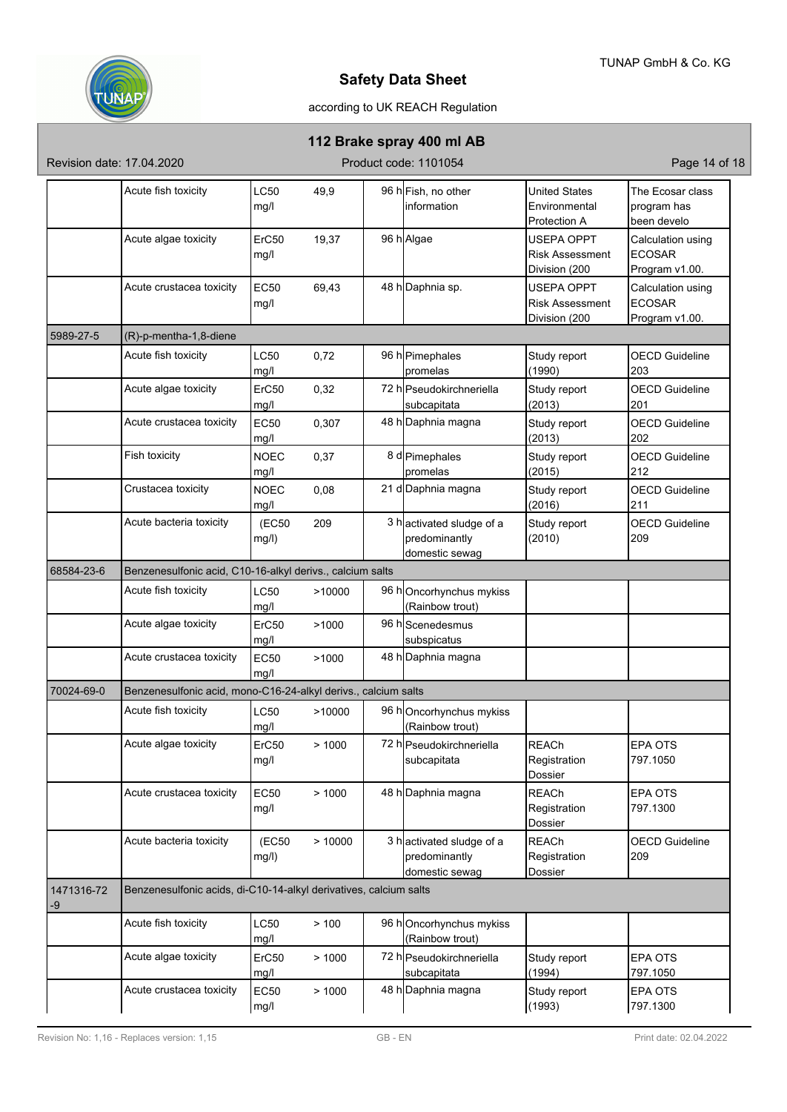

# according to UK REACH Regulation

## **112 Brake spray 400 ml AB**

Revision date: 17.04.2020 **Product code: 1101054** Product code: 1101054

|                  | Acute fish toxicity                                               | LC50        | 49,9   | 96 h Fish, no other      | <b>United States</b>   | The Ecosar class      |
|------------------|-------------------------------------------------------------------|-------------|--------|--------------------------|------------------------|-----------------------|
|                  |                                                                   | mg/l        |        | linformation             | Environmental          | program has           |
|                  |                                                                   |             |        |                          | Protection A           | been develo           |
|                  | Acute algae toxicity                                              | ErC50       | 19,37  | 96 h Algae               | <b>USEPA OPPT</b>      | Calculation using     |
|                  |                                                                   | mg/l        |        |                          | <b>Risk Assessment</b> | <b>ECOSAR</b>         |
|                  |                                                                   |             |        |                          | Division (200          | Program v1.00.        |
|                  | Acute crustacea toxicity                                          | <b>EC50</b> |        | 48 h Daphnia sp.         | <b>USEPA OPPT</b>      |                       |
|                  |                                                                   |             | 69,43  |                          |                        | Calculation using     |
|                  |                                                                   | mg/l        |        |                          | <b>Risk Assessment</b> | <b>ECOSAR</b>         |
|                  |                                                                   |             |        |                          | Division (200          | Program v1.00.        |
| 5989-27-5        | (R)-p-mentha-1,8-diene                                            |             |        |                          |                        |                       |
|                  | Acute fish toxicity                                               | LC50        | 0,72   | 96 h Pimephales          | Study report           | <b>OECD Guideline</b> |
|                  |                                                                   | mg/l        |        | promelas                 | (1990)                 | 203                   |
|                  | Acute algae toxicity                                              | ErC50       | 0,32   | 72 h Pseudokirchneriella | Study report           | <b>OECD Guideline</b> |
|                  |                                                                   | mg/l        |        | subcapitata              | (2013)                 | 201                   |
|                  |                                                                   |             |        |                          |                        |                       |
|                  | Acute crustacea toxicity                                          | EC50        | 0,307  | 48 h Daphnia magna       | Study report           | <b>OECD Guideline</b> |
|                  |                                                                   | mg/l        |        |                          | (2013)                 | 202                   |
|                  | Fish toxicity                                                     | <b>NOEC</b> | 0,37   | 8 d Pimephales           | Study report           | <b>OECD Guideline</b> |
|                  |                                                                   | mg/l        |        | promelas                 | (2015)                 | 212                   |
|                  | Crustacea toxicity                                                | <b>NOEC</b> | 0,08   | 21 d Daphnia magna       | Study report           | <b>OECD Guideline</b> |
|                  |                                                                   | mg/l        |        |                          | (2016)                 | 211                   |
|                  | Acute bacteria toxicity                                           | (EC50       | 209    | 3 hactivated sludge of a | Study report           | <b>OECD Guideline</b> |
|                  |                                                                   | mg/l)       |        | predominantly            | (2010)                 | 209                   |
|                  |                                                                   |             |        | domestic sewag           |                        |                       |
|                  |                                                                   |             |        |                          |                        |                       |
| 68584-23-6       | Benzenesulfonic acid, C10-16-alkyl derivs., calcium salts         |             |        |                          |                        |                       |
|                  | Acute fish toxicity                                               | LC50        | >10000 | 96 hOncorhynchus mykiss  |                        |                       |
|                  |                                                                   | mg/l        |        | (Rainbow trout)          |                        |                       |
|                  | Acute algae toxicity                                              | ErC50       | >1000  | 96 hScenedesmus          |                        |                       |
|                  |                                                                   | mg/l        |        | subspicatus              |                        |                       |
|                  | Acute crustacea toxicity                                          | <b>EC50</b> | >1000  | 48 h Daphnia magna       |                        |                       |
|                  |                                                                   | mq/l        |        |                          |                        |                       |
| 70024-69-0       | Benzenesulfonic acid, mono-C16-24-alkyl derivs., calcium salts    |             |        |                          |                        |                       |
|                  |                                                                   |             |        |                          |                        |                       |
|                  | Acute fish toxicity                                               | LC50        | >10000 | 96 hOncorhynchus mykiss  |                        |                       |
|                  |                                                                   | mg/l        |        | (Rainbow trout)          |                        |                       |
|                  | Acute algae toxicity                                              | ErC50       | >1000  | 72 h Pseudokirchneriella | <b>REACh</b>           | <b>EPA OTS</b>        |
|                  |                                                                   | mg/l        |        | subcapitata              | Registration           | 797.1050              |
|                  |                                                                   |             |        |                          | Dossier                |                       |
|                  | Acute crustacea toxicity                                          | <b>EC50</b> | >1000  | 48 h Daphnia magna       | <b>REACh</b>           | <b>EPA OTS</b>        |
|                  |                                                                   | mg/l        |        |                          | Registration           | 797.1300              |
|                  |                                                                   |             |        |                          | Dossier                |                       |
|                  | Acute bacteria toxicity                                           |             |        |                          |                        | <b>OECD Guideline</b> |
|                  |                                                                   | (EC50       | >10000 | 3 hactivated sludge of a | <b>REACh</b>           |                       |
|                  |                                                                   | mg/l)       |        | predominantly            | Registration           | 209                   |
|                  |                                                                   |             |        | domestic sewag           | Dossier                |                       |
| 1471316-72<br>-9 | Benzenesulfonic acids, di-C10-14-alkyl derivatives, calcium salts |             |        |                          |                        |                       |
|                  | Acute fish toxicity                                               | LC50        | > 100  | 96 hOncorhynchus mykiss  |                        |                       |
|                  |                                                                   | mg/l        |        | (Rainbow trout)          |                        |                       |
|                  | Acute algae toxicity                                              | ErC50       | >1000  | 72 h Pseudokirchneriella | Study report           | <b>EPA OTS</b>        |
|                  |                                                                   | mg/l        |        | subcapitata              | (1994)                 | 797.1050              |
|                  |                                                                   |             |        |                          |                        |                       |
|                  | Acute crustacea toxicity                                          | EC50        | >1000  | 48 h Daphnia magna       | Study report           | <b>EPA OTS</b>        |
|                  |                                                                   | mg/l        |        |                          | (1993)                 | 797.1300              |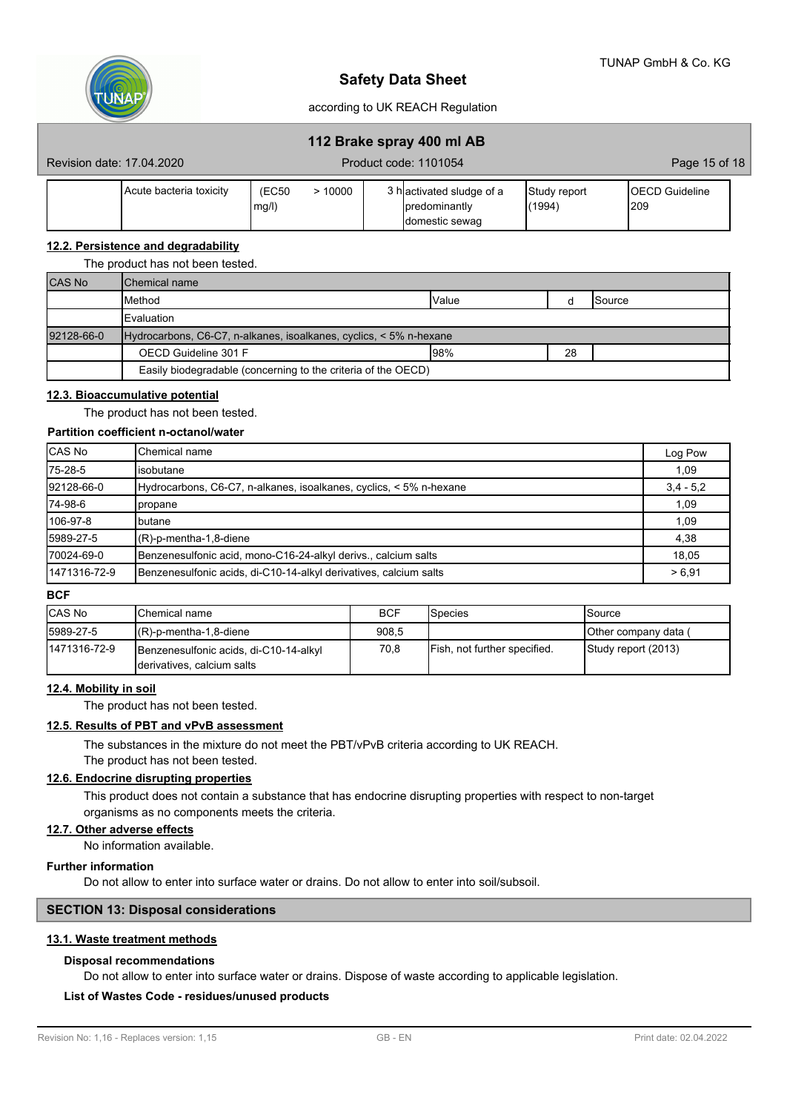

#### according to UK REACH Regulation

## **112 Brake spray 400 ml AB**

| Revision date: 17.04.2020 |                           | Product code: 1101054 |       |                            | Page 15 of 18 |                  |  |
|---------------------------|---------------------------|-----------------------|-------|----------------------------|---------------|------------------|--|
|                           | l Acute bacteria toxicitv | <b>(EC50</b>          | 10000 | › h∣activated sludge of a_ | Study report  | <b>Guideline</b> |  |

#### **12.2. Persistence and degradability**

#### The product has not been tested.

| <b>CAS No</b> | <b>I</b> Chemical name                                             |       |    |                 |
|---------------|--------------------------------------------------------------------|-------|----|-----------------|
|               | <b>I</b> Method                                                    | Value |    | <b>I</b> Source |
|               | Evaluation                                                         |       |    |                 |
| 92128-66-0    | Hydrocarbons, C6-C7, n-alkanes, isoalkanes, cyclics, < 5% n-hexane |       |    |                 |
|               | OECD Guideline 301 F                                               | 98%   | 28 |                 |
|               | Easily biodegradable (concerning to the criteria of the OECD)      |       |    |                 |

#### **12.3. Bioaccumulative potential**

The product has not been tested.

#### **Partition coefficient n-octanol/water**

| CAS No       | lChemical name                                                     | Log Pow     |
|--------------|--------------------------------------------------------------------|-------------|
| 75-28-5      | lisobutane                                                         | 1,09        |
| 92128-66-0   | Hydrocarbons, C6-C7, n-alkanes, isoalkanes, cyclics, < 5% n-hexane | $3,4 - 5,2$ |
| 74-98-6      | <b>I</b> propane                                                   | 1,09        |
| 106-97-8     | Ibutane                                                            | 1,09        |
| 5989-27-5    | $(R)-p$ -mentha-1,8-diene                                          | 4,38        |
| 70024-69-0   | Benzenesulfonic acid, mono-C16-24-alkyl derivs., calcium salts     | 18.05       |
| 1471316-72-9 | Benzenesulfonic acids, di-C10-14-alkyl derivatives, calcium salts  | > 6.91      |

#### **BCF**

| <b>CAS No</b> | <b>I</b> Chemical name                                                | <b>BCF</b> | Species                      | Source               |
|---------------|-----------------------------------------------------------------------|------------|------------------------------|----------------------|
| 5989-27-5     | $(R)-p$ -mentha-1,8-diene                                             | 908,5      |                              | Other company data ( |
| 1471316-72-9  | Benzenesulfonic acids, di-C10-14-alkyl<br>Iderivatives, calcium salts | 70.8       | Fish, not further specified. | Study report (2013)  |

#### **12.4. Mobility in soil**

The product has not been tested.

#### **12.5. Results of PBT and vPvB assessment**

The substances in the mixture do not meet the PBT/vPvB criteria according to UK REACH.

# The product has not been tested.

## **12.6. Endocrine disrupting properties**

This product does not contain a substance that has endocrine disrupting properties with respect to non-target organisms as no components meets the criteria.

#### **12.7. Other adverse effects**

No information available.

#### **Further information**

Do not allow to enter into surface water or drains. Do not allow to enter into soil/subsoil.

### **SECTION 13: Disposal considerations**

#### **13.1. Waste treatment methods**

#### **Disposal recommendations**

Do not allow to enter into surface water or drains. Dispose of waste according to applicable legislation.

#### **List of Wastes Code - residues/unused products**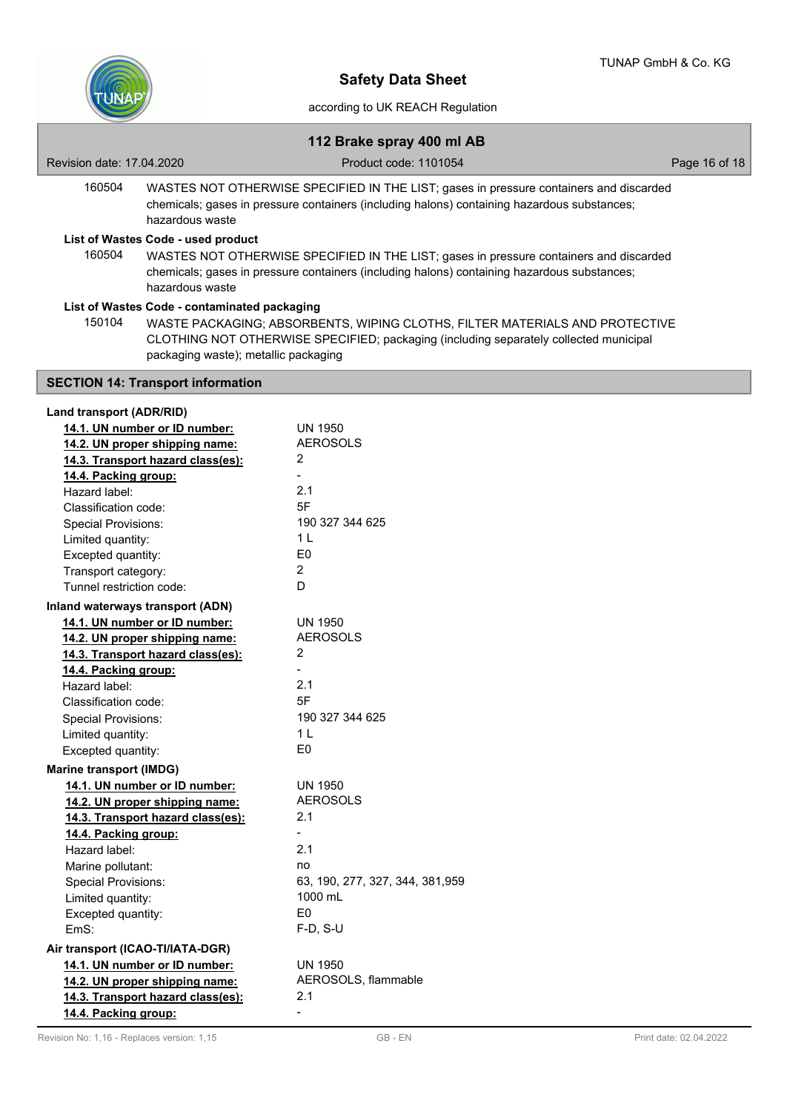

# **112 Brake spray 400 ml AB**

| Revision date: 17,04,2020                                           |                                                                                                                                                                                                          | Product code: 1101054                                                                                                                                                                 | Page 16 of 18 |
|---------------------------------------------------------------------|----------------------------------------------------------------------------------------------------------------------------------------------------------------------------------------------------------|---------------------------------------------------------------------------------------------------------------------------------------------------------------------------------------|---------------|
| 160504                                                              | WASTES NOT OTHERWISE SPECIFIED IN THE LIST; gases in pressure containers and discarded<br>chemicals; gases in pressure containers (including halons) containing hazardous substances;<br>hazardous waste |                                                                                                                                                                                       |               |
|                                                                     | List of Wastes Code - used product                                                                                                                                                                       |                                                                                                                                                                                       |               |
| 160504                                                              | hazardous waste                                                                                                                                                                                          | WASTES NOT OTHERWISE SPECIFIED IN THE LIST; gases in pressure containers and discarded<br>chemicals; gases in pressure containers (including halons) containing hazardous substances; |               |
| 150104                                                              | List of Wastes Code - contaminated packaging<br>packaging waste); metallic packaging                                                                                                                     | WASTE PACKAGING; ABSORBENTS, WIPING CLOTHS, FILTER MATERIALS AND PROTECTIVE<br>CLOTHING NOT OTHERWISE SPECIFIED; packaging (including separately collected municipal                  |               |
| <b>SECTION 14: Transport information</b>                            |                                                                                                                                                                                                          |                                                                                                                                                                                       |               |
| Land transport (ADR/RID)<br>14.1 IIN number or ID number<br>IN 1950 |                                                                                                                                                                                                          |                                                                                                                                                                                       |               |

| <b>AEROSOLS</b><br>14.2. UN proper shipping name:<br>2<br>14.3. Transport hazard class(es):<br>14.4. Packing group:<br>2.1<br>Hazard label:<br>5F<br>Classification code:<br>190 327 344 625<br><b>Special Provisions:</b><br>1 <sup>1</sup><br>Limited quantity:<br>E0<br>Excepted quantity:<br>$\overline{2}$<br>Transport category:<br>D<br>Tunnel restriction code:<br>Inland waterways transport (ADN)<br>14.1. UN number or ID number:<br><b>UN 1950</b><br><b>AEROSOLS</b><br>14.2. UN proper shipping name:<br>2<br>14.3. Transport hazard class(es):<br>14.4. Packing group:<br>2.1<br>Hazard label:<br>5F<br>Classification code:<br>190 327 344 625<br><b>Special Provisions:</b><br>1 <sub>L</sub><br>Limited quantity:<br>E <sub>0</sub><br>Excepted quantity:<br><b>Marine transport (IMDG)</b><br>14.1. UN number or ID number:<br><b>UN 1950</b><br><b>AEROSOLS</b><br>14.2. UN proper shipping name:<br>2.1<br>14.3. Transport hazard class(es):<br>14.4. Packing group:<br>2.1<br>Hazard label:<br>Marine pollutant:<br>no<br><b>Special Provisions:</b><br>1000 mL<br>Limited quantity:<br>E <sub>0</sub><br>Excepted quantity:<br>$F-D, S-U$<br>EmS:<br>Air transport (ICAO-TI/IATA-DGR)<br>14.1. UN number or ID number:<br><b>UN 1950</b><br>AEROSOLS, flammable<br>14.2. UN proper shipping name:<br>2.1<br>14.3. Transport hazard class(es):<br>14.4. Packing group:<br>$\overline{a}$ | 14.1. UN number or ID number: | <b>UN 1950</b>                   |
|----------------------------------------------------------------------------------------------------------------------------------------------------------------------------------------------------------------------------------------------------------------------------------------------------------------------------------------------------------------------------------------------------------------------------------------------------------------------------------------------------------------------------------------------------------------------------------------------------------------------------------------------------------------------------------------------------------------------------------------------------------------------------------------------------------------------------------------------------------------------------------------------------------------------------------------------------------------------------------------------------------------------------------------------------------------------------------------------------------------------------------------------------------------------------------------------------------------------------------------------------------------------------------------------------------------------------------------------------------------------------------------------------------------|-------------------------------|----------------------------------|
|                                                                                                                                                                                                                                                                                                                                                                                                                                                                                                                                                                                                                                                                                                                                                                                                                                                                                                                                                                                                                                                                                                                                                                                                                                                                                                                                                                                                                |                               |                                  |
|                                                                                                                                                                                                                                                                                                                                                                                                                                                                                                                                                                                                                                                                                                                                                                                                                                                                                                                                                                                                                                                                                                                                                                                                                                                                                                                                                                                                                |                               |                                  |
|                                                                                                                                                                                                                                                                                                                                                                                                                                                                                                                                                                                                                                                                                                                                                                                                                                                                                                                                                                                                                                                                                                                                                                                                                                                                                                                                                                                                                |                               |                                  |
|                                                                                                                                                                                                                                                                                                                                                                                                                                                                                                                                                                                                                                                                                                                                                                                                                                                                                                                                                                                                                                                                                                                                                                                                                                                                                                                                                                                                                |                               |                                  |
|                                                                                                                                                                                                                                                                                                                                                                                                                                                                                                                                                                                                                                                                                                                                                                                                                                                                                                                                                                                                                                                                                                                                                                                                                                                                                                                                                                                                                |                               |                                  |
|                                                                                                                                                                                                                                                                                                                                                                                                                                                                                                                                                                                                                                                                                                                                                                                                                                                                                                                                                                                                                                                                                                                                                                                                                                                                                                                                                                                                                |                               |                                  |
|                                                                                                                                                                                                                                                                                                                                                                                                                                                                                                                                                                                                                                                                                                                                                                                                                                                                                                                                                                                                                                                                                                                                                                                                                                                                                                                                                                                                                |                               |                                  |
|                                                                                                                                                                                                                                                                                                                                                                                                                                                                                                                                                                                                                                                                                                                                                                                                                                                                                                                                                                                                                                                                                                                                                                                                                                                                                                                                                                                                                |                               |                                  |
|                                                                                                                                                                                                                                                                                                                                                                                                                                                                                                                                                                                                                                                                                                                                                                                                                                                                                                                                                                                                                                                                                                                                                                                                                                                                                                                                                                                                                |                               |                                  |
|                                                                                                                                                                                                                                                                                                                                                                                                                                                                                                                                                                                                                                                                                                                                                                                                                                                                                                                                                                                                                                                                                                                                                                                                                                                                                                                                                                                                                |                               |                                  |
|                                                                                                                                                                                                                                                                                                                                                                                                                                                                                                                                                                                                                                                                                                                                                                                                                                                                                                                                                                                                                                                                                                                                                                                                                                                                                                                                                                                                                |                               |                                  |
|                                                                                                                                                                                                                                                                                                                                                                                                                                                                                                                                                                                                                                                                                                                                                                                                                                                                                                                                                                                                                                                                                                                                                                                                                                                                                                                                                                                                                |                               |                                  |
|                                                                                                                                                                                                                                                                                                                                                                                                                                                                                                                                                                                                                                                                                                                                                                                                                                                                                                                                                                                                                                                                                                                                                                                                                                                                                                                                                                                                                |                               |                                  |
|                                                                                                                                                                                                                                                                                                                                                                                                                                                                                                                                                                                                                                                                                                                                                                                                                                                                                                                                                                                                                                                                                                                                                                                                                                                                                                                                                                                                                |                               |                                  |
|                                                                                                                                                                                                                                                                                                                                                                                                                                                                                                                                                                                                                                                                                                                                                                                                                                                                                                                                                                                                                                                                                                                                                                                                                                                                                                                                                                                                                |                               |                                  |
|                                                                                                                                                                                                                                                                                                                                                                                                                                                                                                                                                                                                                                                                                                                                                                                                                                                                                                                                                                                                                                                                                                                                                                                                                                                                                                                                                                                                                |                               |                                  |
|                                                                                                                                                                                                                                                                                                                                                                                                                                                                                                                                                                                                                                                                                                                                                                                                                                                                                                                                                                                                                                                                                                                                                                                                                                                                                                                                                                                                                |                               |                                  |
|                                                                                                                                                                                                                                                                                                                                                                                                                                                                                                                                                                                                                                                                                                                                                                                                                                                                                                                                                                                                                                                                                                                                                                                                                                                                                                                                                                                                                |                               |                                  |
|                                                                                                                                                                                                                                                                                                                                                                                                                                                                                                                                                                                                                                                                                                                                                                                                                                                                                                                                                                                                                                                                                                                                                                                                                                                                                                                                                                                                                |                               |                                  |
|                                                                                                                                                                                                                                                                                                                                                                                                                                                                                                                                                                                                                                                                                                                                                                                                                                                                                                                                                                                                                                                                                                                                                                                                                                                                                                                                                                                                                |                               |                                  |
|                                                                                                                                                                                                                                                                                                                                                                                                                                                                                                                                                                                                                                                                                                                                                                                                                                                                                                                                                                                                                                                                                                                                                                                                                                                                                                                                                                                                                |                               |                                  |
|                                                                                                                                                                                                                                                                                                                                                                                                                                                                                                                                                                                                                                                                                                                                                                                                                                                                                                                                                                                                                                                                                                                                                                                                                                                                                                                                                                                                                |                               |                                  |
|                                                                                                                                                                                                                                                                                                                                                                                                                                                                                                                                                                                                                                                                                                                                                                                                                                                                                                                                                                                                                                                                                                                                                                                                                                                                                                                                                                                                                |                               |                                  |
|                                                                                                                                                                                                                                                                                                                                                                                                                                                                                                                                                                                                                                                                                                                                                                                                                                                                                                                                                                                                                                                                                                                                                                                                                                                                                                                                                                                                                |                               |                                  |
|                                                                                                                                                                                                                                                                                                                                                                                                                                                                                                                                                                                                                                                                                                                                                                                                                                                                                                                                                                                                                                                                                                                                                                                                                                                                                                                                                                                                                |                               |                                  |
|                                                                                                                                                                                                                                                                                                                                                                                                                                                                                                                                                                                                                                                                                                                                                                                                                                                                                                                                                                                                                                                                                                                                                                                                                                                                                                                                                                                                                |                               |                                  |
|                                                                                                                                                                                                                                                                                                                                                                                                                                                                                                                                                                                                                                                                                                                                                                                                                                                                                                                                                                                                                                                                                                                                                                                                                                                                                                                                                                                                                |                               |                                  |
|                                                                                                                                                                                                                                                                                                                                                                                                                                                                                                                                                                                                                                                                                                                                                                                                                                                                                                                                                                                                                                                                                                                                                                                                                                                                                                                                                                                                                |                               | 63, 190, 277, 327, 344, 381, 959 |
|                                                                                                                                                                                                                                                                                                                                                                                                                                                                                                                                                                                                                                                                                                                                                                                                                                                                                                                                                                                                                                                                                                                                                                                                                                                                                                                                                                                                                |                               |                                  |
|                                                                                                                                                                                                                                                                                                                                                                                                                                                                                                                                                                                                                                                                                                                                                                                                                                                                                                                                                                                                                                                                                                                                                                                                                                                                                                                                                                                                                |                               |                                  |
|                                                                                                                                                                                                                                                                                                                                                                                                                                                                                                                                                                                                                                                                                                                                                                                                                                                                                                                                                                                                                                                                                                                                                                                                                                                                                                                                                                                                                |                               |                                  |
|                                                                                                                                                                                                                                                                                                                                                                                                                                                                                                                                                                                                                                                                                                                                                                                                                                                                                                                                                                                                                                                                                                                                                                                                                                                                                                                                                                                                                |                               |                                  |
|                                                                                                                                                                                                                                                                                                                                                                                                                                                                                                                                                                                                                                                                                                                                                                                                                                                                                                                                                                                                                                                                                                                                                                                                                                                                                                                                                                                                                |                               |                                  |
|                                                                                                                                                                                                                                                                                                                                                                                                                                                                                                                                                                                                                                                                                                                                                                                                                                                                                                                                                                                                                                                                                                                                                                                                                                                                                                                                                                                                                |                               |                                  |
|                                                                                                                                                                                                                                                                                                                                                                                                                                                                                                                                                                                                                                                                                                                                                                                                                                                                                                                                                                                                                                                                                                                                                                                                                                                                                                                                                                                                                |                               |                                  |
|                                                                                                                                                                                                                                                                                                                                                                                                                                                                                                                                                                                                                                                                                                                                                                                                                                                                                                                                                                                                                                                                                                                                                                                                                                                                                                                                                                                                                |                               |                                  |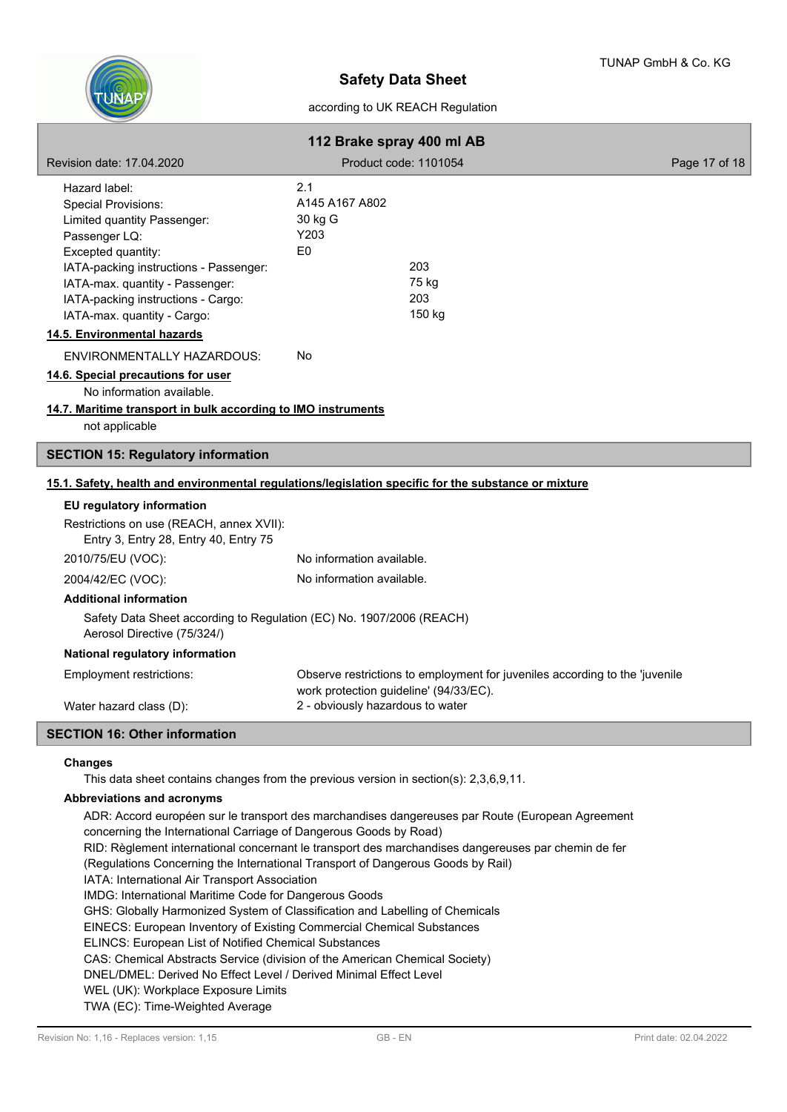

| 112 Brake spray 400 ml AB                                                                                                                                                                                                                                                                          |                                                                            |                                                                             |               |
|----------------------------------------------------------------------------------------------------------------------------------------------------------------------------------------------------------------------------------------------------------------------------------------------------|----------------------------------------------------------------------------|-----------------------------------------------------------------------------|---------------|
| Revision date: 17,04,2020                                                                                                                                                                                                                                                                          |                                                                            | Product code: 1101054                                                       | Page 17 of 18 |
| Hazard label:<br><b>Special Provisions:</b><br>Limited quantity Passenger:<br>Passenger LQ:<br>Excepted quantity:<br>IATA-packing instructions - Passenger:<br>IATA-max. quantity - Passenger:<br>IATA-packing instructions - Cargo:<br>IATA-max. quantity - Cargo:<br>14.5. Environmental hazards | 2.1<br>A145 A167 A802<br>30 kg G<br>Y203<br>E <sub>0</sub>                 | 203<br>75 kg<br>203<br>150 kg                                               |               |
| ENVIRONMENTALLY HAZARDOUS:<br>14.6. Special precautions for user<br>No information available.<br>14.7. Maritime transport in bulk according to IMO instruments<br>not applicable                                                                                                                   | No                                                                         |                                                                             |               |
| <b>SECTION 15: Regulatory information</b>                                                                                                                                                                                                                                                          |                                                                            |                                                                             |               |
| 15.1. Safety, health and environmental regulations/legislation specific for the substance or mixture                                                                                                                                                                                               |                                                                            |                                                                             |               |
| EU regulatory information<br>Restrictions on use (REACH, annex XVII):<br>Entry 3, Entry 28, Entry 40, Entry 75<br>2010/75/EU (VOC):                                                                                                                                                                | No information available.                                                  |                                                                             |               |
| 2004/42/EC (VOC):                                                                                                                                                                                                                                                                                  | No information available.                                                  |                                                                             |               |
| <b>Additional information</b><br>Safety Data Sheet according to Regulation (EC) No. 1907/2006 (REACH)<br>Aerosol Directive (75/324/)<br>National regulatory information                                                                                                                            |                                                                            |                                                                             |               |
| Employment restrictions:<br>Water hazard class (D):                                                                                                                                                                                                                                                | work protection guideline' (94/33/EC).<br>2 - obviously hazardous to water | Observe restrictions to employment for juveniles according to the 'juvenile |               |
| <b>SECTION 16: Other information</b>                                                                                                                                                                                                                                                               |                                                                            |                                                                             |               |

#### **Changes**

This data sheet contains changes from the previous version in section(s): 2,3,6,9,11.

#### **Abbreviations and acronyms**

ADR: Accord européen sur le transport des marchandises dangereuses par Route (European Agreement concerning the International Carriage of Dangerous Goods by Road) RID: Règlement international concernant le transport des marchandises dangereuses par chemin de fer (Regulations Concerning the International Transport of Dangerous Goods by Rail) IATA: International Air Transport Association IMDG: International Maritime Code for Dangerous Goods GHS: Globally Harmonized System of Classification and Labelling of Chemicals EINECS: European Inventory of Existing Commercial Chemical Substances ELINCS: European List of Notified Chemical Substances CAS: Chemical Abstracts Service (division of the American Chemical Society) DNEL/DMEL: Derived No Effect Level / Derived Minimal Effect Level WEL (UK): Workplace Exposure Limits TWA (EC): Time-Weighted Average